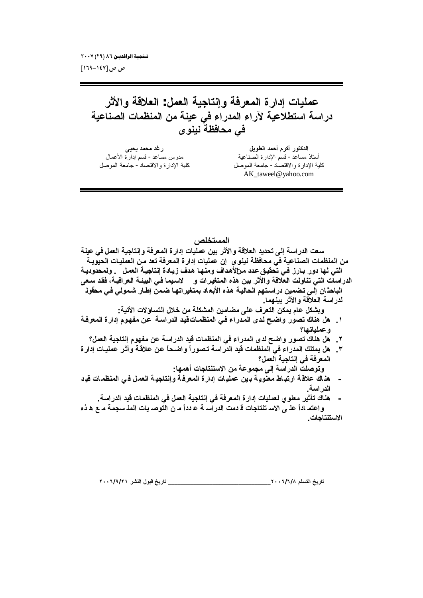ص ص [۱٤٧–١٦٩]

عمليات إدارة المعرفة وإنتاجية العمل: العلاقة والأثر دراسة استطلاعية لآراء المدراء في عينة من المنظمات الصناعية في محافظة نينو ي

رغد محمد يحيى مدرس مساعد- قسم إدار ة الأعمال كلية الإدارة والاقتصاد- جامعة الموصل

الدكتور أكرم أحمد الطويل أستاذ مساعد- قسم الإدارة الصناعية كلية الإدارة والاقتصاد - جامعة الموصل AK\_taweel@yahoo.com

المستخلص

سعت الدراسة إلى تحديد العلاقة والأثر بين عمليات إدارة المعرفة وإنتاجية العمل في عينة من المنظمات الصناعية في محافظة نينو ي إن عمليات إدار ة المعرفة تعد من العمليات الحيويـة التي لها دور بـارز فـي تحقيق عدد مــزالأهداف ومنـهـا هدف زيـادة إنـتاجيــة الـعمـل . ولمـحدوديــة الدراسات التي تناولت العلاقة والأثر بين هذه المتغيرات و لاسبما في البيئـة العراقيـة، فقد سـعي الباحثان إلـى تضمين در استهم الحاليـة هذه الأبعـاد بمتغير اتـهـا ضـمن إطـار شـمولـى فـى محقولـ لدراسة العلاقة والأثر بينهما. وبشكل عام يمكن التعرف على مضامين المشكلة من خلال التساولات الأتية: ١\_ هل هناك تصور واضح لدى المدراء في المنظمــاتــقيد الدراســة عن مفهوم إدارة المعرفـة وعملياتها؟ ٢ . هل هناك تصور واضح لدى المدراء في المنظمات فيد الدراسة عن مفهوم إنتاجية العمل؟ ٣. هل يمتلك المدراء في المنظمات فيد الدراسة تصوراً واضحاً عن علاقـة وأثـر عمليـات إدار ة المعرفة في إنتاجية العمل؟ وتوصلت الدراسة إلى مجموعة من الاستنتاجات أهمها: هذاك علاقة ارتباط معنوية برين عمليات إدارة المعرفة وإنتاجية العمل في المنظمات قيد  $\sim$ الدر اسبة. هناك تأثير معنو ي لعمليات إدار ة المعرفة في إنتاجية العمل في المنظمات فيد الدراسة. واعتمـ اداً علـ ي الاسـ تنتاجات قـ دمت الدراسـ ـة عـ دداً مـ ن التوصـ يات المذ سجمـة مـ ع هـ ذه الاستنتاجات.

\_ تاريخ قبول النشر ٢٠٠٦/٩/٢١ تاريخ التسلم ٢٠٠٦/٦/٨ - ٢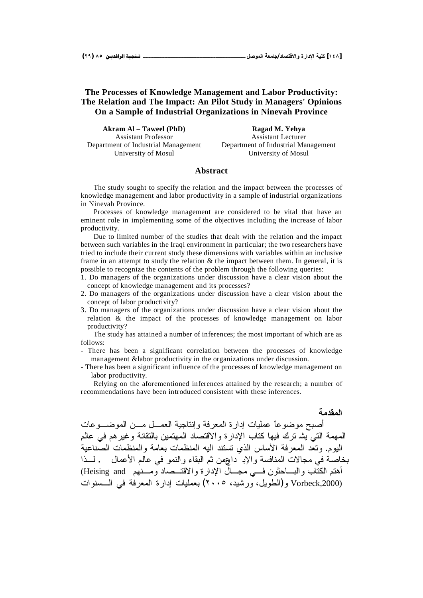## **The Processes of Knowledge Management and Labor Productivity: The Relation and The Impact: An Pilot Study in Managers' Opinions On a Sample of Industrial Organizations in Ninevah Province**

**Akram Al – Taweel (PhD)** Assistant Professor Department of Industrial Management University of Mosul

**Ragad M. Yehya** Assistant Lecturer Department of Industrial Management University of Mosul

## **Abstract**

The study sought to specify the relation and the impact between the processes of knowledge management and labor productivity in a sample of industrial organizations in Ninevah Province.

Processes of knowledge management are considered to be vital that have an eminent role in implementing some of the objectives including the increase of labor productivity.

Due to limited number of the studies that dealt with the relation and the impact between such variables in the Iraqi environment in particular; the two researchers have tried to include their current study these dimensions with variables within an inclusive frame in an attempt to study the relation  $\&$  the impact between them. In general, it is possible to recognize the contents of the problem through the following queries:

- 1. Do managers of the organizations under discussion have a clear vision about the concept of knowledge management and its processes?
- 2. Do managers of the organizations under discussion have a clear vision about the concept of labor productivity?
- 3. Do managers of the organizations under discussion have a clear vision about the relation & the impact of the processes of knowledge management on labor productivity?

The study has attained a number of inferences; the most important of which are as follows:

- There has been a significant correlation between the processes of knowledge management &labor productivity in the organizations under discussion.
- There has been a significant influence of the processes of knowledge management on labor productivity.

Relying on the aforementioned inferences attained by the research; a number of recommendations have been introduced consistent with these inferences.

**المقدمة** أصبح موضوعاً عمليات إدارة المعرفة وإنتاجية العمـــل مـــن الموضـــوعات المهمة التي بِشْد ترك فيها كتاب الإدار ة والاقتصاد المهتمين بالتقانة وغير هم في عالم اليوم. وتعد المعرفة الأساس الذي تستند اليه المنظمات بعامة والمنظمات الصّناعية بخاصة في مجالات المنافسة والإبـ داوهن ثم البقاء والنمو في عالم الأعمال . لــذا أهتم الكتّاب والبـــاحثون فـــي مجـــالّ الإدارة والاقتـــصـاد ومـــنـهم Heising and) ŚŔƏƊŬ»ƅŔƓž řžũŸƈƅŔŘũŔŧŏŚŕƔƆƈŸŗ (ÐÎÎÓ ŧƔŮũƏ ¿ƔƏųƅŔ)Ə Vorbeck,2000)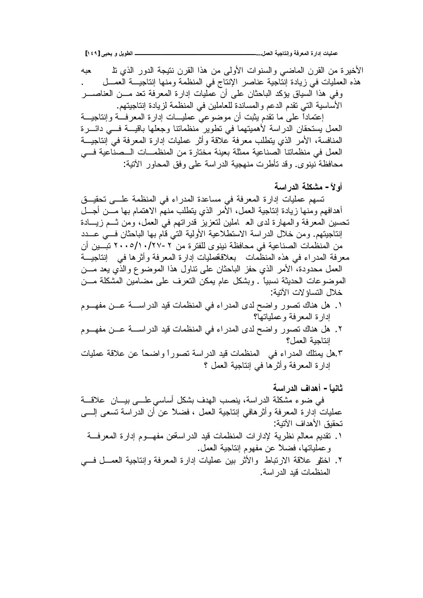الأخيرة من القرن الماضي والسنوات الأولى من هذا القرن نتيجة الدور الذي نذ حيه هذه العمليات في زيادة إنتاجية عناصر الإنتاج في المنظمة ومنها إنتاجيــة العمـــل وفي هذا السياق يؤكد الباحثان على أن عمليات إدارة المعرفة تعد مـــن العناصــــر الأساسية التي تقدم الدعم والمساندة للعاملين في المنظمة لزيادة إنتاجيتهم. إعتماداً على ما نقدم بثبت أن موضوعي عمليـــات إدارة المعرفـــة وإنتاجيـــة العمل يستحقان الدراسة لأهميتهما في نطوير منظماننا وجعلها باقيـــة فـــي دائــــرة المنافسة، الأمر الذي يتطلب معرفة علاقة وأثر عمليات إدارة المعرفة في إنتاجيـــة العمل في منظماتنا الصناعية ممثلة بعينة مختارة من المنظمـــات الـــصناعية فـــي محافظة نينوي. وقد تأطرت منهجية الدراسة على وفق المحاور الأنية:

أولأ – مشكلة الدر اسة

تسهم عمليات إدارة المعرفة في مساعدة المدراء في المنظمة علـــي تحقيـــق أهدافهم ومنها زيادة إنتاجية العمل، الأمر الذي يتطلب منهم الاهتمام بها مـــن أجـــل تحسين المعرفة والمهارة لدى الع املين لتعزيز قدراتهم في العمل، ومن ثـــم زيـــادة انتاجيتهم. ومن خلال الدراسة الاستطلاعية الأولية التي قام بها الباحثان فسي عـــدد من المنظمات الصناعية في محافظة نينوى للفترة من ٢-٢٧/١٠/٢٧ تبــين أن معرفة المدراء في هذه المنظمات بعلاقةعمليات إدارة المعرفة وأثرها في إنتاجيــة العمل محدودة، الأمر الذي حفز الباحثان على نتاول هذا الموضوع والذي يعد مـــن الموضوعات الحديثة نسبيًا . وبشكل عام يمكن النعرف على مضامين المشكلة مـــن خلال التساؤ لات الآتبة:

- ١. هل هناك نصور واضح لدى المدراء في المنظمات قيد الدراســـة عـــن مفهـــوم إدارة المعرفة وعملياتها؟
- ٢. هل هناك تصور واضح لدى المدراء في المنظمات قيد الدراســــة عـــن مفهـــوم إنتاجية العمل؟
- ٠.هل يمثلك المدراء في المنظمات فيد الدراسة نصوراً واضحاً عن علاقة عمليات إدارة المعرفة وأثرها في إنتاجية العمل ؟

## ثانياً – أهداف الدر اسة

في ضوءِ مشكلة الدر اسة، ينصب الهدف بشكل أساسي علـــي بيــــان ِ علاقــــة عمليات إدارة المعرفة وأثر هافي إنتاجية العمل ، فضلاً عن أن الدراسة نسعى إلــــي تحقيق الأهداف الآتية:

- ١. نقديم معالم نظرية لإدارات المنظمات قيد الدراسةص مفهـــوم إدارة المعرفـــة وعملياتها، فضلاً عن مفهوم إنتاجية العمل.
- ٢. اختلو علاقة الارتباط والأثر بين عمليات إدارة المعرفة وإنتاجية العمـــل فــــي المنظمات قدد الدر اسة.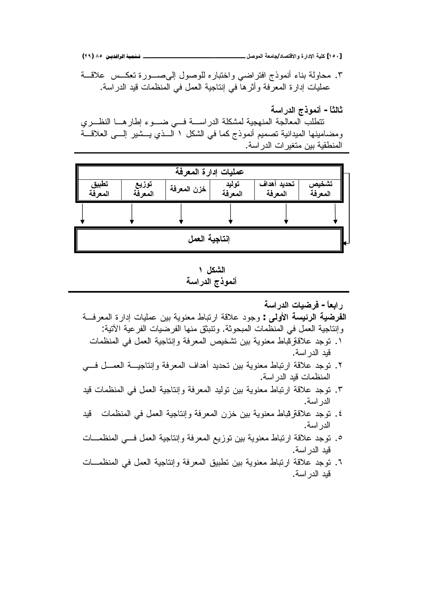**(ÏÖ) ÕÒ ÞNë¢Ë¦×ìÜàN**666666666666666666666666666666666666666666666666666666666666666666666666666666666666666666666666**¾ŮƍƆƃŒŗŶƆœŞ/ťœŮřſƙŒƍ ŖŧŒťƗŒŗƒƄƂ [ÎÒÍ]**

ř»ƁƜŷ ū»ƄŸśŘũƏ»ŰƑƅŏ ¿ƏŰƏƆƅƋũŕŗśŦŔƏƓŲŔũśžŔ ŞŨƏƈƊŌ 'nŕƊŗřƅƏŕţƈ .Ñ عمليات إدارة المعرفة وأثرها في إنتاجية العمل في المنظمات قيد الدراسة.

**ŗŪŒŧťƃŒŜŦƍƆƈŊ -Ĺœśƃœś**

تتطلب المعالجة المنهجية لمشكلة الدراســـة فـــي ضــــوء إطارهـــا النظـــري ومضامينها الميدانية تصميم أنموذج كما في الشكل ١ السذي يـــشير إلــــي الـعلاقـــة المنطقية بين متغير ات الدر اسة.

| عمليات إدارة المعرفة |                  |             |                  |                        |                  |  |  |  |  |
|----------------------|------------------|-------------|------------------|------------------------|------------------|--|--|--|--|
| تطبيق<br>المعرفة     | توزيع<br>المعرفة | خزن المعرفة | توليد<br>المعرفة | تحديد أهداف<br>المعرفة | تشخيص<br>المعرفة |  |  |  |  |
|                      |                  |             |                  |                        |                  |  |  |  |  |
| إنتاجية العمل        |                  |             |                  |                        |                  |  |  |  |  |

ا**لشكل** ۱ أنموذج الدراسة

**ŗŪŒŧťƃŒŘœƒŰŧż -ĹœŶŕŒŧ**

- <mark>الفرضية الرئيسة الأولمي</mark> : وجود علاقة ارتباط معنوية بين عمليات إدارة المعرفـــة وإنتاجية العمل في المنظمات المبحوثة. وتتبثق منها الفرضيات الفرعية الأتية:
	- ١. توجد علاقةرئباط معنوية بين تشخيص المعرفة وإنتاجية العمل في المنظمات قيد الدر اسة.
- ٢. توجد علاقة ارتباط معنوية بين تحديد أهداف المعرفة وإنتاجيـــة العمـــل فـــي المنظمات قيد الدر اسة.
- ٣. نوجد علاقة ارتباط معنوية بين نوليد المعرفة وإنتاجية العمل في المنظمات قيد الدر اسة.
- ٤. نوجد علاقةولمباط معنوية بين خزن المعرفة وإنتاجية العمل في المنظمات قيد الدر اسة.
- ۰. توجد علاقة ارتباط معنوية بين توزيع المعرفة وإنتاجية العمل فسي المنظمــات قيد الدر اسة.
- ۲. توجد علاقة ارتباط معنوية بين تطبيق المعرفة وإنتاجية العمل في المنظمـــات قيد الدر اسة.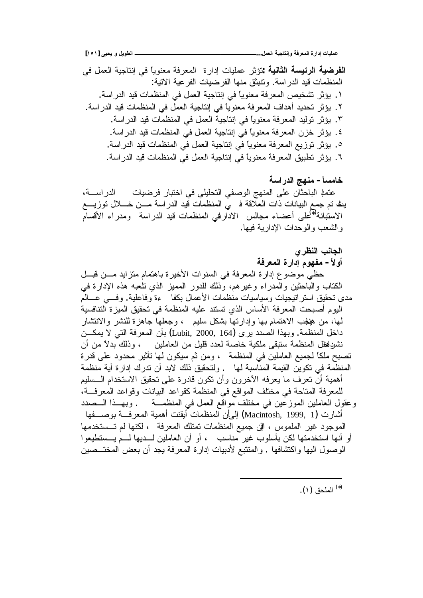ا**لفرضية الرئيسة الثانية** تؤثر عمليات إدارة المعرفة معنوياً في إنتاجية العمل في المنظمات قيد الدراسة. وتتبثق منها الفرضيات الفرعية الاتية: ١. يؤثر نشخيص المعرفة معنوياً في إنتاجية العمل في المنظمات فيد الدراسة. ٢. يؤثر تحديد أهداف المعرفة معنوياً في إنتاجية العمل في المنظمات فيد الدراسة. ٣. يؤثِّر توليد المعرفة معنوياً في إنتاجية العمل في المنظمات قيد الدر اسة. ٤. يؤثِّر خزن المعرفة معنوياً في إنتاجية العمل في المنظمات قيد الدراسة. ٥. يؤثِّر توزيع المعرفة معنوياً في إنتاجية العمل في المنظمات قيد الدراسة. ٦. يؤثر تطبيق المعرفة معنوياً في إنتاجية العمل في المنظمات قيد الدراسة.

خامساً – منهج الدراسة عنملِ الباحثان على المنهج الوصفى التحليلي في اختبار فرضيات الدراســـة، ينَّ تم جمع البيانات ذات العلاقة فـ بي المنظمات قيد الدراسة مـــن خــــلال توزيــــع الاستبانة<sup>(ت</sup>ُعلى أعضاء مجالس الادارفي المنظمات قيد الدراسة ومدراء الأقسام و الشعب و الوحدات الإدار بـة فيها.

- الجانب النظرى
- أولأ مفهوم إدارة المعرفة

حظي موضوع إدارة المعرفة في السنوات الأخيرة باهتمام متزايد مــــن قبـــل الكتاب والباحثين والمدراء وغيرهم، وذلك للدور المميز الذي نلعبه هذه الإدارة في مدى نحقيق استر انيجيات وسياسيات منظمات الأعمال بكفا حقق وفاعلية. وفسى عسالم اليوم أصبحت المعرفة الأساس الذي تستند عليه المنظمة في تحقيق الميز ة التنافسية لمها، من هيلجب الاهتمام بها وإدارتها بشكل سليم ، وجعلها جاهزة للنشر والانتشار داخل المنظمة. وبهذا الصدد يرى (Lubit, 2000, 164) بأن المعرفة التي لا يمكـــن نشردلطل المنظمة ستبقى ملكية خاصة لعدد قليل من العاملين ، وذلك بدلاً من أن تصبح ملكاً لجميع العاملين في المنظمة ، ومن ثم سيكون لها تأثير محدود على قدرة المنظمة في تكوين القيمة المناسبة لها . ولتحقيق ذلك لابد أن ندرك إدارة أية منظمة أهمية أن نعرف ما يعرفه الأخرون وأن نكون قادرة على نحقيق الاستخدام الـــسليم للمعرفة المتاحة في مختلف المواقع في المنظمة كقواعد البيانات وقواعد المعرفـــة، وعقول العاملين الموزعين في مختلف مواقع العمل في المنظمة مستوروبهـذا الـــصدد أشارت (Macintosh, 1999, 1) إلى أن المنظمات أيقنت أهمية المعرفـــة بوصــــفها الموجود غير الملموس ، الني جميع المنظمات تمتلك المعرفة ، لكنها لم تـــستخدمها أو أنها استخدمتها لكن بأسلوب غير مناسب ، أو أن العاملين لـــديها لـــم يـــستطيعوا الوصول اليها واكتشافها . والمنتبع لأدبيات إدارة المعرفة يجد أن بعض المختـــصين

<sup>(\*)</sup> الملحق (١).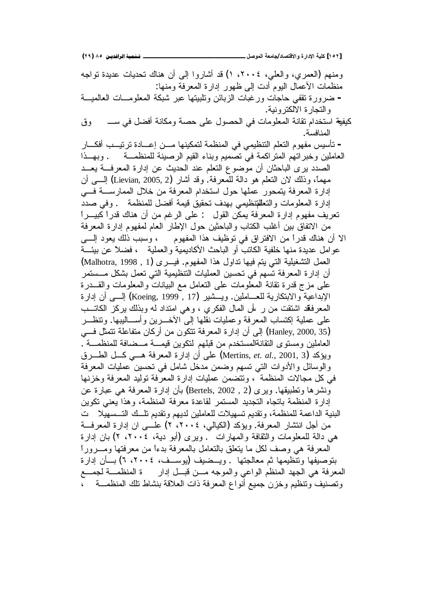ومنهم (العمري، والعلي، ٢٠٠٤، ١) قد أشاروا إلى أن هناك تحديات عديدة نواجه منظمات الأعمال البوم أدت إلى ظهور إدارة المعرفة ومنها: – ضرورة تقفي حاجات ورغبات الزبائن ونابيتها عبر شبكة المعلومـــات العالميـــة و النجار ة الالكتر ونية. كيفية استخدام تقانة المعلومات في الحصول على حصة ومكانة أفضل في ســــــــوق المنافسة. - تأسيس مفهوم التعلم التنظيمي في المنظمة لتمكينها مـــن إعــــادة ترتيـــب أفكـــار العاملين وخبر اتهم المتراكمة في تصميم وبناء القيم الرصينة للمنظمــة . وبهــذا الصدد بر ي الباحثان أن موضوع التعلم عند الحدبث عن إدارة المعرفة بعــد مهماً، وذلك لان النعلم هو دالة للمعرفة. وقد أشار (Lievian, 2005, 2) إلــــي أن إدارة المعرفة يتمحور عملها حول استخدام المعرفة من خلال الممارســـة فــــى إدارة المعلومات والتعللمتظيمي بهدف تحقيق قيمة أفضل للمنظمة . وفى صدد تعريف مفهوم إدارة المعرفة يمكّن القول : على الرغم من أن هناك قدراً كبيـــراً من الاتفاق بين أغلب الكتاب والباحثين حول الإطار العام لمفهوم إدارة المعرفة الا أن هناك قدراً من الافتراق في توظيف هذا المفهوم ، وسبب ذلك يعود إلـــي عوامل عديدة منها خلفية الكاتب أو الباحث الأكاديمية والعملية ، فضلاً عن بيئـــة لعمل التشغيلية التبي يتم فيها نداول هذا المفهوم. فيسرى (Malhotra, 1998 , 1) أن إدارة المعرفة تسهم في تحسين العمليات التنظيمية التي تعمل بشكل مـــستمر على مزج قدرة نقانة المعلومات على النعامل مع البيانات والمعلومات والقـــدرة الإبداعية والابنكارية للعـــاملين. ويـــشير (Koeing, 1999 , 17) إلــــي أن إدارة المعرفَقد اشتقت من ر أس الممال الفكري ، و هي امتداد لمه وبذلك بركز الكاتــب على عملية إكتساب المعرفة وعمليات نقلها إلى الأخـــرين وأســــاليبها. وتنظـــر (Hanley, 2000, 35) إلى أن إدارة المعرفة نتكون من أركان متفاعلة نتمثل فسي العاملين ومستوى التقانةالمستخدم من قبلهم لتكوين قيمـــة مـــضافة للمنظمـــة . ويؤكد (2001, Mertins, *et. al.*, 2001, 3) على أن إدارة المعرفة هـــي كـــل الطــــرق والوسائل والأدوات التبي تسهم وضمن مدخل شامل في تحسين عمليات المعرفة في كل مجالات المنظمة ، وتتضمن عمليات إدارة المعرفة توليد المعرفة وخزنها ونشرها وتطبيقها. ويرى (Bertels, 2002 , 2) بأن إدارة المعرفة هي عبارة عن إدارة المنظمة باتجاه التجديد المستمر لقاعدة معرفة المنظمة، وهذا يعني تكوين البنية الداعمة للمنظمة، ونقديم تسهيلات للعاملين لديهم ونقديم تلــك التـــسهيلا ت من أجل انتشار المعرفة. ويؤكد (الكيالي، ٢٠٠٤، ٢) علـــي ان إدارة المعرفــة هي دالة للمعلومات والثقافة والمهارات . ويرى (أبو دية، ٢٠٠٤، ٢) بان إدارة المعرفة هي وصف لكل ما يتعلق بالنعامل بالمعرفة بدءاً من معرفتها ومـــروراً بتوصيفها وتتظيمها ثم معالجتها . ويــضيف (يوســف، ٢٠٠٤، ٦) بـــأن إدارة المعرفة هي الجهد المنظم الواعي والموجه مــن قبــل إدار ة المنظمـــة لجمـــع وتصنيف ونتظيم وخزن جميع أنواع المعرفة ذات العلاقة بنشاط تلك المنظمـــة ،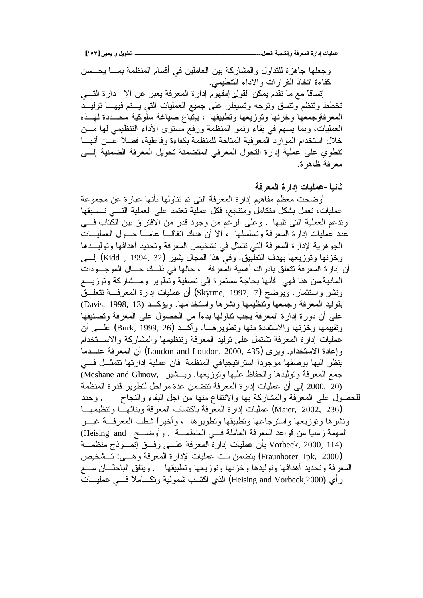**[ÎÒÐ] Əƒšƒƍ¾ƒƍűƃŒ ººººººººººººººººººººººººººººººº...¾ƆŶƃŒŗƒŞœřƈōƍŗżŧŶƆƃŒ ŖŧŒťōŘœƒƄƆŵ**

وجعلها جاهزة للتداول والمشاركة بين العاملين في أقسام المنظمة بمـــا يـحــسن كفاءة اتخاذ القر ار ات والأداء التنظيمي.

إنساقًا مع ما نقدم يمكن القولن إمفهوم إدارة المعرفة يعبر عن الإ دارة التــــى تخطط ونتظم ونتسق ونوجه ونسيطر على جميع العمليات التبي يستم فيهسا نوليسد المعرفةوجمعها وخزنها وتوزيعها ونطبيقها ، بإنباع صياغة سلوكية محــددة لهــذه العمليات، وبما يسهم في بقاء ونمو المنظمة ورفع مستوى الأداء التنظيمي لمها مـــن خلال استخدام الموارد المعرفية المتاحة للمنظمة بكفاءة وفاعلية، فضلاً عـــن أنهـــا تنطوي على عملية إدارة النحول المعرفي المتضمنة تحويل المعرفة الضمنية إلـــي معر فة ظاهر ة.

ثانياً – عمليات ادار ة المعرفة

أوضحت معظم مفاهيم إدارة المعرفة التي تم نتاولها بأنها عبارة عن مجموعة عمليات، نعمل بشكل متكامل ومتتابع، فكل عملية نعتمد على العملية التسى تــسبقها وندعم العملية التي تليها . وعلى الرغم من وجود قدر من الافتراق بين الكتاب فـــي عدد عمليات إدارة المعرفة وتسلسلها ، الا أن هناك اتفاقـــا عامـــا حـــول العمليـــات الجوهرية لإدارة المعرفة التي نتمثل في نشخيص المعرفة وتحديد أهدافها وتوليـــدها وخزنها وتوزيعها بهدف التطبيق وفي هذا المجال يشير (Kidd , 1994, 32) إلـــي أن إدارة المعرفة تتعلق بادراك أهمية المعرفة ، حالها في ذلــك حـــال الموجـــودات المادية،من هنا فهي فأنها بحاجة مستمرة إلى نصفية وتطوير ومــشاركة وتوزيـــع ونشر واستثمار .ويوضح (Skyrme, 1997, 7) أن عمليات إدارة المعرفــة نتعلـــقّ بتوليد المعرفة وجمعها وتنظيمها ونشرها واستخدامها. ويؤكــد (Davis, 1998, 13) على أن دورة إدارة المعرفة يجب نتاولها بدءاً من الحصول على المعرفة وتصنيفها ونقييمها وخزنها والاستفادة منها ونطويرهـــا. وأكـــد (Burk, 1999, 26) علـــي أن عمليات إدارة المعرفة نتثنقل على نوليد المعرفة ونتظيمها والمشاركة والاســـنخدام وإعادة الاستخدام. ويرى (Loudon and Loudon, 2000, 435) أن المعرفة عنـــدما ينظر اليها بوصفها موجودا استراتيجياًفي المنظمة فان عملية إدارتها تتمثــل فـــي جمع المعرفة وتوليدها والحفاظ عليها وتوزيعها. ويـــشير Mcshane and Glinow, (2000, 20 إلى أن عمليات إدارة المعرفة نتضمن عدة مراحل لتطوير قدرة المنظمة للحصول على المعرفة والمشاركة بها والانتفاع منها من اجل البقاء والنجاح وحدد هطليات إدارة المعرفة باكتساب المعرفة وبنائهـا ونتظيمهــا (Maier, 2002, 236) ونشرها ونوزيعها واسترجاعها وتطنيقها ونطويرها ، وأخيرا شطب المعرفة غيــر المهمة زمنياً من قواعد المعرفة العاملة فسي المنظمـــة . وأوضــــح Heising and) ř»ƈŴƊƈŞŨƏ»ƈƊŏ ƀ»žƏƑ»ƆŷřžũŸƈƅŔŘũŔŧŏŚŕƔƆƈŷƉōŗ Vorbeck, 2000, 114) (Fraunhoter Ipk, 2000) بتضمن ست عمليات لإدارة المعرفة وهـــي: تـــشخيص المعرفة وتحديد أهدافها وتوليدها وخزنها وتوزيعها وتطبيقها . ويتفق الباحثـــان مـــع رأي (Heising and Vorbeck,2000) الذي اكتسب شمولية ونكــــاملاً فــــي عمليــــات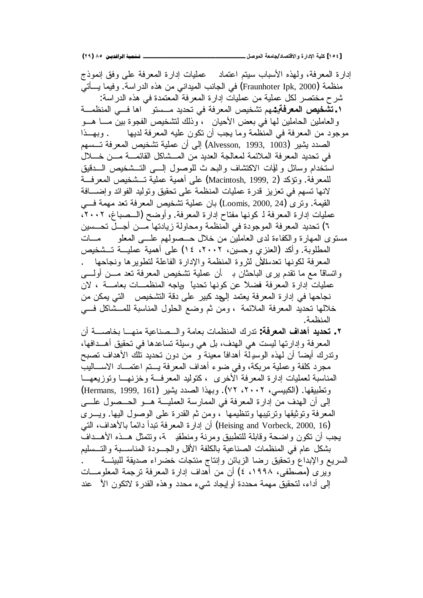إدارة المعرفة، ولـهذه الأسباب سيتم اعتماد للعمليات إدارة المعرفة علـي وفق إنموذج منظمة (Fraunhoter Ipk, 2000) في الجانب الميداني من هذه الدراسة. وفيما يــــأتي شرح مختصر لكل عملية من عمليات إدارة المعرفة المعتمدة في هذه الدراسة: ř»ƈŴƊƈƅŔƓ»ž ŕƍŔ ƏśŬ»ƈŧƔŧţśƓžřžũŸƈƅŔůƔŦŮśƇƎŬƔ**: ŗżŧŶƆƃŒŭƒŤŬř.Î** والعاملين الحاملين لمها في بعض الأحيان ، وذلك لنشخيص الفجوة بين مـــا هـــو موجود من المعرفة في المنظمة وما يجب أن نكون عليه المعرفة لديها . وبهــذا الصدد يشير (Alvesson, 1993, 1003) إلى أن عملية تشخيص المعرفة تـــسهم في تحديد المعرفة الملائمة لمعالجة العديد من المـشاكل القائمـــة مـــن خـــلال استخدام وسائل و للّيات الاكتشاف والبحرث للوصول السبي التسشخيص السدقيق للمعرفة. ونؤكد (2 Macintosh, 1999, 2) على أهمية عملية تــشخيص المعرفــة لانها تسهم في تعزيز قدرة عمليات المنظمة على تحقيق وتوليد الفوائد وإضـــافة القيمة. ونزى (24 ,Loomis, 2000, 24) بان عملية تشخيص المعرفة تعد مهمة فـــي عمليات إدارة المعرفة لـ كونها مفتاح إدارة المعرفة. وأوضح (السصباغ، ٢٠٠٢، ٦) تحديد المعرفة الموجودة في المنظمة ومحاولة زيادتها مــن أجــل تحــسين مسنوي المهارة والكفاءة لدى العاملين من خلال حــصولهم علـــي المعلو مـــات المطلوبة. وأكد (العنزي وحسين، ٢٠٠٢، ١٤) على أهمية عمليـــة تـــشخيص المعرفة لكونها تعدسلال لثروة المنظمة والإدارة الفاعلة لتطويرها ونجاحها . وانساقاً مع ما نقدم برى الباحثان بـ أن عملية نشخيص المعرفة نعد مـــن أولــــي عمليات إدارة المعرفة فضلاً عن كونها تحدياً وياجه المنظمـــات بعامــــة ، لان نجاحها في إدارة المعرفة يعتمد إل<sub>ح</sub>د كبير على دقة التشخيص التي يمكن من خلالها تحديد المعرفة الملائمة ، ومن ثم وضع الحلول المناسبة للمــشاكل فـــي المنظمة.

 ƉŌř»ŰŕŦŗŕ»ƎƊƈřƔŷŕƊŰ»ƅŔƏřƈŕŸŗŚŕƈŴƊƈƅŔƃũŧś **:ŗżŧŶƆƃŒ ŻŒťƋŊťƒťšř .Ï** المعرفة وإدارتها ليست هي الهدف، بل هي وسيلة تساعدها في تحقيق أهــدافها، وندرك أيضاً أن لهذه الوسدِلة أهدافاً معينة و ٍ من دون تحديد نلك الأهداف تصبح مجرد كلفة وعملية مربكة، وفي ضوء أهداف المعرفة يـــتم اعتمـــاد الاســــاليب المناسبة لعمليات إدارة المعرفة الأخرى ، كتوليد المعرفة وخزنهــا وتوزيعهــا ونطبيقها. (الكبيسي، ٢٠٠٢، ٧٢). وبهذا الصدد يشير (Hermans, 1999, 161) إلى أن الهدف من إدارة المعرفة في الممارسة العمليـــة هـــو الحـــصول علــــي المعرفة ونوثيقها ونزنيبها ونتظيمها ، ومن ثم القدرة على الوصول اليها. ويـــري (Heising and Vorbeck, 2000, 16) أن إدارة المعرفة تبدأ دائماً بالأهداف، التي يجب أن تكون واضحة وقابلة للتطبيق ومرنة ومنطقد كمة، وتتمثل هـــذه الأهـــداف بشكل عام في المنظمات الصناعية بالكلفة الأقل والجــودة المناســبة والتــسليم السريع والإبداع وتحقيق رضا الزبائن وإنتاج منتجات خضراء صديقة للبيئـــة ويري (مصطفى، ١٩٩٨، ٤) أن من أهداف إدارة المعرفة ترجمة المعلومـــات الِّي أداء، لتحقيق مهمة محددة أو إيجاد شيء محدد وهذه القدرة لاتكون الأ′ عند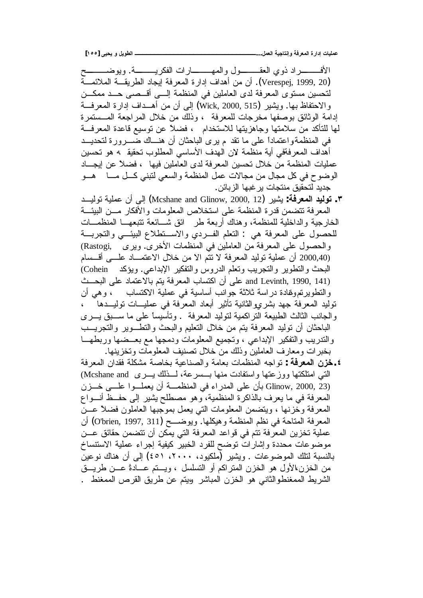**[ÎÒÒ] Əƒšƒƍ¾ƒƍűƃŒ ººººººººººººººººººººººººººººººº...¾ƆŶƃŒŗƒŞœřƈōƍŗżŧŶƆƃŒ ŖŧŒťōŘœƒƄƆŵ**

Ţ»»»»ŲƏƔƏ .ř»»»»ƔũƄſƅŔŚŔũŕ»»»ƎƈƅŔƏ¿Ə»»»»ƂŸƅŔƒƏŨŧŔũ»»»»žƗŔ (Verespej, 1999, 20). أن من أهداف إدارة المعرفة إيجاد الطريقـــة الملائمـــة لتحسين مستوى المعرفة لدى العاملين في المنظمة إلـــي أقـــصـي حـــد ممكـــن والاحتفاظ بـها. ويشير (Wick, 2000, 515) إلى أن من أهــداف إدارة المعرفـــة إدامة الوثائق بوصفها مخرجات للمعرفة ، وذلك من خلال المراجعة المـــستمرة لمها للتأكد من سلامتها وجاهزيتها للاستخدام ، فضلاً عن نوسيع قاعدة المعرفة في المنظمةواعتماداً على ما نقد م يرى الباحثان أن هنـــاك ضــــرورة لتحديـــد أهداف المعرفةفي أية منظمة لان الهدف الأساسي المطلوب تحقيق 4 هو تحسين عمليات المنظمة من خلال تحسين المعرفة لدى العاملين فيها ، فضلاً عن إبجـــاد الوضوح في كل مجال من مجالات عمل المنظمة والسعي لنبني كـــل مــــا هـــو جديد لتحقيق منتجات ير غبها الزبائن.

- ŧ»ƔƅƏśřƔƆƈŷƉŌ Ƒƅŏ (Mcshane and Glinow, 2000, 12)ũƔŮƔ **:ŗżŧŶƆƃŒťƒƃƍř .Ð** المعرفة تتضمن قدرة المنظمة على استخلاص المعلومات والأفكار مـــن البيئـــة الخارجية والداخلية للمنظمة، وهناك أربعة طرٍ ائق شـــائعة تتبعهـــا المنظمـــات للحصول على المعرفة هي : النعلم الفـردي والاســنطلاع البيئـــي والنجربـــة والحصول على المعرفة من العاملين في المنظمات الأخرى. ويرى ,Rastogi) (2000,40 أن عملية توليد المعرفة لا نتم الا من خلال الاعتمــاد علـــى أقــسام البحث والنطوير والنجريب ونعلم الدروس والنفكير الإبداعي. ويؤكد Cohein) and Levinth, 1990, 141) على أن اكتساب المعرفة يتم بالاعتماد على البحــث والنطويرنفروغادة دراسة ثلاثة جوانب أساسية في عملية الاكتساب ، وهي أن نوليد المعرفة جهد بشرووالثانية نأثير أبعاد المعرفة في عمليـــات نوليـــدها ، و الجانب الثالث الطبيعة النر اكمية لنوليد المعرفة . وتأسيساً على ما ســـبق يـــري الباحثان أن نوليد المعرفة يتم من خلال النعليم والبحث والنطـــوير والنجريـــب والندريب والنفكير الإبداعي ، وتجميع المعلومات ودمجها مع بعــضها وربطهـــا بخبرات ومعارف العاملين وذلك من خلال تصنيف المعلومات وتخزينها.
- řžũŸƈƅŔƉŔŧƂžřƆƄŮƈřŰŕŦŗřƔŷŕƊŰƅŔƏřƈŕŸŗŚŕƈŴƊƈƅŔƌŠŔƏś **: ŗżŧŶƆƃŒƇŨŤ.Ñ** التبي امتلكتها ووزعتها واستفادت منها بـــسرعة، لـــذلك يــــري Mcshane and) Glinow, 2000, 23) بأن على المدراء في المنظمـــة أن يعملـــوا علـــي خـــزن المعرفة في ما يعرف بالذاكرة المنظمية، وهو مصطلح يشير إلى حفــظ أنـــواع المعرفة وخزنها ، ويتضمن المعلومات التبي يعمل بموجبها العاملون فضلاً عـــن المعرفة المتاحة في نظم المنظمة وهيكلها. ويوضـــح (O'brien, 1997, 311) أن عملية تخزين المعرفة نتم في قواعد المعرفة التي يمكن أن نتضمن حقائق عـــن موضوعات محددة وإشارات توضح للفرد الخبير كيفية إجراء عملية الاستتساخ بالنسبة لتلك الموضوعات . ويشير (ملكيود، ٢٠٠٠، ٤٥١) إلى أن هناك نوعين من الخزن،الأول هو الخزن المتراكم أو التسلسل ، ويستم عسادةً عسن طريسق الشريط الممغنطوالثاني هو الخزن المباشر وبيتم عن طريق القرص الممغنط .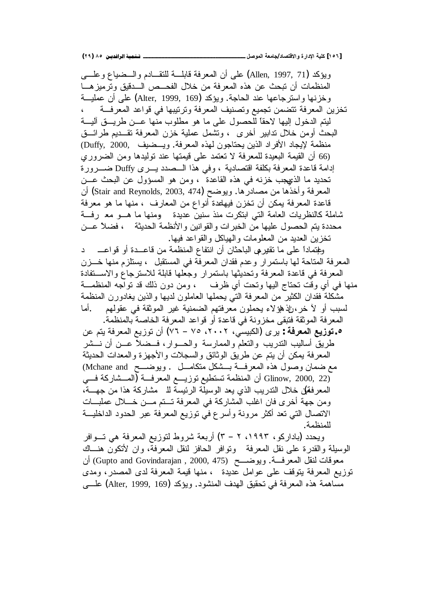**(ÏÖ) ÕÒ ÞNë¢Ë¦×ìÜàN**666666666666666666666666666666666666666666666666666666666666666666666666666666666666666666666666**¾ŮƍƆƃŒŗŶƆœŞ/ťœŮřſƙŒƍ ŖŧŒťƗŒŗƒƄƂ [ÎÒÓ]**

وبِوَكد (Allen, 1997, 71) على أن المعرفة قابلـــة للنقـــادم والـــضياع وعلــــي المنظمات أن تبحث عن هذه المعرفة من خلال الفحــص الـــدقيق وترميزهـــا وخزنها واسترجاعها عند الحاجة. ويؤكد (Alter, 1999, 169) على أن عمليـــة تخزين المعرفة تتضمن تجميع وتصنيف المعرفة وترنيبها في قواعد المعرفـــة ، ليتم الدخول إليها لاحقاً للحصول على ما هو مطلوب منها عـــن طريـــق أليـــة البحث أومن خلال ندابير أخرى ، ونشمل عملية خزن المعرفة نقــديم طرائـــق منظمة لإيجاد الأفراد الذين يحتاجون لهذه المعرفة. ويــضيف "Duffy, 2000 (66 أن القيمة البعيدة للمعرفة لا تعتمد على قيمتها عند توليدها ومن الضروري إدامة قاعدة المعرفة بكلفة اقتصادية ، وفي هذا الــصدد يـــرى Duffy ضـــرورة تحديد ما الذيهجب خزنه في هذه القاعدة ، ومن هو المسؤول عن البحث عــن المعرفة و أخذها من مصادرها. ويوضح (Stair and Reynolds, 2003, 474) أن قاعدة المعرفة يمكن أن تخزن فيهلعدة أنواع من المعارف ، منها ما هو معرفة شاملة كالنظريات العامة التي ابتكرت منذ سنين عديدة ومنها ما هـــو مع رفـــة محددة يتم الحصول عليها من الخبرات والقوانين والأنظمة الحديثة ، فضلاً عـــن نخز بن العديد من المعلومات و الهياكل و القو اعد فيها. وَطِتِماداً على ما تقيرِهي الباحثان أن انتفاع المنظمة من قاعـــدة أو قواعـــــــد المعرفة المتاحة لها باستمرار وعدم فقدان المعرفة في المستقبل ، يستلزم منها خـــزن المعرفة في فاعدة المعرفة وتحديثها باستمرار وجعلها قابلة للاسترجاع والاســتفادة منها في أي وقت تحتاج اليها وتحت أي ظرف ، ومن دون ذلك قد تواجه المنظمـــة مشكلة فقدان الكثير من المعرفة التي يحملها العاملون لديها والذين يغادورن المنظمة لسبب أو لاّ خر ، إذ هو لاء يحملون معرفتهم الضمنية غير الموثقة في عقولهم أما المعرفة الموثقة فتبقى مخزونة في قاعدة أو قواعد المعرفة الخاصة بالمنظمة. ƉŷƇśƔřžũŸƈƅŔŶƔŪƏśƉŌ (ÕÔ – ÕÓ ÐÎÎÐ ƓŬƔŗƄƅŔ) ƐũƔ **: ŗżŧŶƆƃŒŴƒŨƍř.Ò** طريق أساليب الندريب والنعلم والممارسة والحسوار، فــضلاً عـــن أن نـــشر المعرفة بمكن أن بتم عن طريق الوثائق والسجلات والأجهزة والمعدات الحديثة مع ضمان وصول هذه المعرفة بــشكل متكامــل . ويوضـــح Mchane and) ن المنظمة تستطيع توزيـــع المعرفــة (المــشاركة فـــي Glinow, 2000, 22) المعرفقل خلال التدريب الذي يعد الوسيلة الرئيسة للـ مشاركة هذا من جهـــة، ومن جهة أخرى فان اغلب المشاركة في المعرفة تستم مسن خسلال عملبسات الاتصال التي تعد أكثر مرونة وأسرع في توزيع المعرفة عبر الحدود الداخليـــة للمنظمة.

ويحدد (باداركو، ١٩٩٣، ٢ – ٣) أربعة شروط لتوزيع المعرفة هي تسوافر الوسيلة والقدرة على نقل المعرفة ونوافر الحافز لنقل المعرفة، وان لأنكون هنـــاك معوفات لنقل المعرفـــة. ويوضــــح (Gupto and Govindarajan , 2000, 475) أن توزيع المعرفة يتوقف على عوامل عديدة ، منها قيمة المعرفة لدى المصدر ، ومدى مساهمة هذه المعرفة في تحقيق الهدف المنشود. ويؤكد (Alter, 1999, 169) علـــي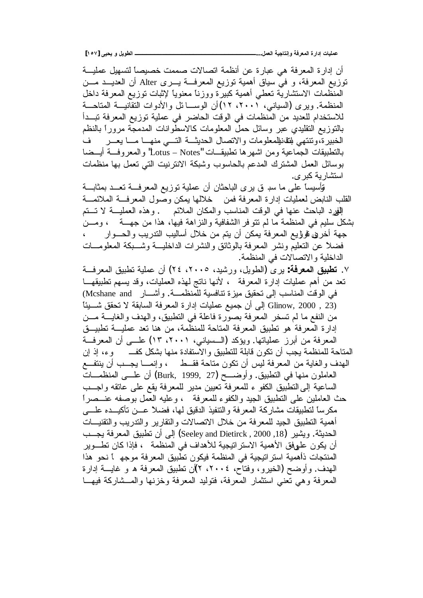أن إدار ة المعرفة هي عبارة عن أنظمة اتصالات صممت خصيصاً لتسهيل عمليـــة توزيع المعرفة، و في سياق أهمية توزيع المعرفــة يـــرى Alter أن العديـــد مـــن المنظَّمات الاستشارية تعطي أهمية كبيرة ووزنا معنويا لإثبات توزيع المعرفة داخل المنظمة. ويرى (السياني، ٢٠٠١، ١٢) أن الوســـا ئل والأدوات النقانيـــة المتاحـــة للاستخدام للعديد من المنظمات في الوقت الحاضر في عملية توزيع المعرفة تبــدأ بالنوزيع النقليدي عبر وسائل حمل المعلومات كالاسطوانات المدمجة مرورا بالنظم الخبيرة،ونتنهي للتقانيللمعلومات والاتصال الحديثة التسي منهــا مــا يعـــر ف بالتطبيقات الجماعية ومن اشهرها تطبيقـــات "Lotus – Notes" والمعروفـــة أيـــضا بوسائل العمل المشترك المدعم بالحاسوب وشبكة الانترنيت التبي تعمل بها منظمات استشار بـ<sup>ت</sup>ه کبر ی.

قأسيساً على ما سبـ ق يرى الباحثان أن عملية نوزيع المعرفـــة تعـــد بمثابـــة الْقُلْب النابض لعمليات إدارة المعرفة فمن خلالها بمكن وصول المعرفـــة الملائمـــة الِفِيرد الباحث عنها في الوقت المناسب والمكان الملائم . وهذه العمليـــة لا تـــتم بشكل سليم في المنظمة ما لم نتو فر االشفافية والنزاهة فيها، هذا من جهــــة ، ومــــن جهة أخرڧ فوؤيع المعرفة يمكن أن يتم من خلال أساليب النتريب والحـــوار فضلاً عن النعليم ونشر المعرفة بالوثائق والنشرات الداخليـــة وشـــبكة المعلومـــات الداخلية والاتصالات في المنظمة.

 ř»žũŸƈƅŔƀƔŗųśřƔƆƈŷƉŌ (ÐÒ ÐÎÎÓ ŧƔŮũƏ¿ƔƏųƅŔ) ƐũƔ **:ŗżŧŶƆƃŒžƒŕűř** .Õ تعد من أهم عمليات إدارة المعرفة ، لأنها ناتج لهذه العمليات، وقد يسهم تطبيقهـــا في الوقت المناسب إلى نحقيق ميزة تنافسية للمنظمـــة. وأشــــار Mcshane and) لِّلِّي أن جميع عمليات إدارة المعرفة السابقة لا تحقق شـــيئًا Glinow, 2000 , 23) من النفع ما لم تسخر المعرفة بصورة فاعلة في النطبيق، والهدف والغايـــة مـــن إدارة المعرفة هو تطبيق المعرفة المتاحة للمنظمة، من هنا تعد عمليـــة تطبيـــق المعرفة من أبرز عملياتها. ويؤكد (الـــسياني، ٢٠٠١) عطـــي أن المعرفـــة المتاحة للمنظمة يجب أن تكون قابلة للتطبيق والاستفادة منها بشكل كف وء، إذ إن المهدف والغاية من المعرفة ليس أن نكون متاحة فقــط ، وإنمـــا بجـــب أن ينتفــع العاملون منها في النطبيق. وأوضــــح (Burk, 1999, 27) أن علـــي المنظمـــات الساعية إلى التطبيق الكفو ء للمعرفة تعيين مدير للمعرفة يقع على عاتقه وإجــب حث العاملين على التطبيق الجيد والكفوء للمعرفة ، وعليه العمل بوصفه عنـــصراً مكرساً لنطبيقات مشاركة المعرفة والنتفيذ الدقيق لمها، فضلاً عـــن نأكيـــده علــــي أهمية التطبيق الجيد للمعرفة من خلال الاتصالات والنقارير والنتدريب والتقنيسات الحديثة. ويشير (Seeley and Dietirck , 2000 ,18) إلى أن نطبيق المعرفة يجــب أن يكون علىفق الأهمية الاستراتيجية للأهداف في المنظمة ، فإذا كان تطـــوير المنتجات ذاهمية استراتيجية في المنظمة فيكون تطبيق المعرفة موجه لم نحو هذا المهدف. وأوضح (الخيرو، وفتاح، ٢٠٠٤، ٢)ْن تطبيق المعرفة ه و غايـــة إدارة المعرفة وهي تعني استثمار المعرفة، فتوليد المعرفة وخزنها والمــشاركة فيهـــا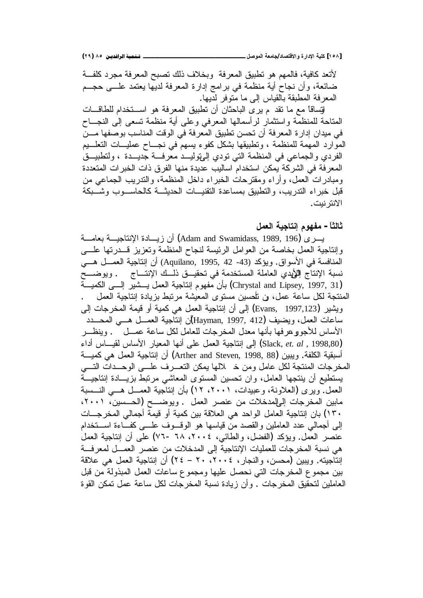لأتعد كافية، فالمهم هو تطبيق المعرفة وبخلاف ذلك تصبح المعرفة مجرد كلفة ضائعة، وأن نجاح أية منظمة في برامج إدارة المعرفة لديها يعتمد علـــي حجـــم المعرفة المطبقة بالقياس إلى ما متوفر لديها.

لتِساقاً مع ما نقد م يرى الباحثان أن نطبيق المعرفة هو اســـنخدام للطاقـــات المتاحة للمنظمة واستثمار لرأسمالها المعرفي وعلى أية منظمة نسعى إلى النجـــاح في ميدان إدارة المعرفة أن تحسن تطبيق المعرفة في الوقت المناسب بوصفها مـــن الموارد المهمة للمنظمة ، وتطبيقها بشكل كفوء بسهم في نجــاح عمليـــات النعلـــيم الفردي والجماعي في المنظمة التي تودي الميتوليــد معرفــة جديـــدة ، ولتطبيـــق المعرفة في الشركة يمكن استخدام اساليب عديدة منها الفرق ذات الخبرات المتعددة ومبادر ات العمل، وأراء ومقترحات الخبراء داخل المنظمة، والندريب الجماعي من قبل خبراء التدريب، والتطبيق بمساعدة التقنيــات الحديثـــة كالحاســـوب وشـــبكة الأنتر نبت.

ثالثاً – مفهوم إنتاجية الع*مل* 

يسرى (Adam and Swamidass, 1989, 196) أن زيسادة الإنتاجيسة بعامسة وإنتاجية العمل بخاصة من العوامل الرئيسة لنجاح المنظمة وتعزيز قـــدرتها علــــي المنافسة في الأسواق. ويؤكد (43- 42 ,1995 ,Aquilano) أن إنتاجية العمـــل هـــي نسبة الإنتاج إللأيدي العاملة المستخدمة في تحقيــق ذلــك الإنتـــاج . ويوضـــح ř»ƔƈƄƅŔ Ƒ»ƅŏ ũƔŮ»Ɣ¿ƈŸƅŔřƔŠŕśƊŏƇƏƎſƈƉōŗ (Chrystal and Lipsey, 1997, 31) المنتجة لكل ساعة عمل، فن تُلْحسين مستوى المعيشة مرتبط بزيادة إنتاجية العمل ويشير (Evans, 1997,123) إلى أن إنتاجية العمل هي كمية أو قيمة المخرجات إلى ساعات العمل، ويضيف (Hayman, 1997, 412) إن إنتاجية العمـــل هـــي المحـــدد الأساس للأجوو عرفها بأنها معدل المخرجات للعامل لكل ساعة عمـــل . وينظـــر 'nŔŧŌūŕ»ƔƂƅūŕŬƗŔũŕƔŸƈƅŔŕƎƊŌƑƆŷ¿ƈŸƅŔřƔŠŕśƊŏ Ƒƅŏ (Slack, *et. al* , 1998,80) أسبقية الكلفة. ويبين (Arther and Steven, 1998, 88) أن إنتاجية العمل هي كميـــة المخرجات المنتجة لكل عامل ومن خـ لالها يمكن التعـــرف علــــى الوحـــدات التــــى يستطيع أن ينتجها العامل، وان تحسين المستوى المعاشى مرتبط بزيـــادة إنتاجيـــة العمل. ويرى (العلاونة، وعبيدات، ٢٠٠١، ١٢) بأن إنتاجية العمـــل هـــي النـــسبة مابين المخرجات إلىإلمدخلات من عنصر العمل . ويوضـــح (الحـــسين، ٢٠٠١، ۴۰) بان إنتاجية العامل الواحد هي العلاقة بين كمية أو قيمة أجمالي المخرجـــات الِّي أجمالي عدد العاملين والقصد من قياسها هو الوقسوف علسي كفساءة اسستخدام عنصر العمل ويؤكد (الفضل، والطائبي، ٢٠٠٤، ٦٨ -٧٦) على أن إنتاجية العمل هي نسبة المخرجات للعمليات الإنتاجية إلى المدخلات من عنصر العمـــل لمعرفـــة إنتاجيته. ويبين (محسن، والنجار، ٢٠٠٤، ٢٠ – ٢٤) أن إنتاجية العمل هي علاقة بين مجموع المخرجات التي نحصل عليها ومجموع ساعات العمل المبذولة من قبل العاملين لتحقيق المخرجات . و أن زيادة نسبة المخرجات لكل ساعة عمل تمكن القوة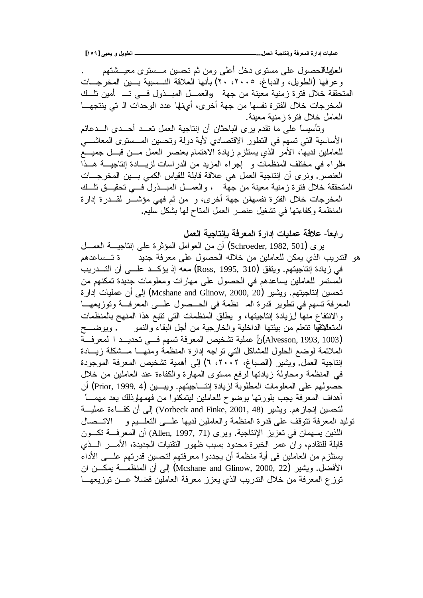**[ÎÒÖ] Əƒšƒƍ¾ƒƍűƃŒ ººººººººººººººººººººººººººººººº...¾ƆŶƃŒŗƒŞœřƈōƍŗżŧŶƆƃŒ ŖŧŒťōŘœƒƄƆŵ**

العلهالملاحصول على مستوى دخل أعلى ومن ثم نحسين مـــستوى معيـــشتهم وعرفها (الطويل، والدباغ، ٢٠٠٥، ٢٠) بأنها العلاقة النـــسبية بـــين المخرجـــات المتحققة خلال فنزة زمنية معينة من جهة ووالعمــل المبــذول فــي تـــ أمين تلــك المخرجات خلال الفترة نفسها من جهة أخرى، أينها عدد الوحدات الـ تي ينتجهـــا المعامل خلال فنرة زيمنية معينة. وتأسيساً على ما نقدم برى الباحثان أن إنتاجية العمل تعــد أحــدى الـــدعائم

الأساسية التي تسهم في النطور الاقتصادي لأية دولة وتحسين المسسنوي المعاشـــي للعاملين لديها، الأمر آلذي يستلزم زيادة الاهتمام بعنصر العمل مـــن قبـــل جميــــع مللراء في مختلف المنظمات و إجراء المزيد من الدراسات لزيـادة إنتاجيـــة هــذا العنصر ِ. ونرى أن إنتاجية العمل هي علاقة قابلة للقياس الكمي بسين المخرجسات المتحققة خلال فترة زمنية معينة من جهة ، والعمــل المبـــذول فـــي تحقيـــق نلـــك المخرجات خلال الفترة نفسهلن جهة أخرى، و من ثم فهي مؤشــــر لقــــدرة إدارة المنظمة وكفاءتها في نشغيل عنصر العمل المناح لها بشكل سليم.

ر ا**بعاً- علاقة عمليات إدارة المعرفة بإنتاجية الع***مل* 

| يري (Schroeder, 1982, 501) أن من العوامل المؤثرة على إنتاجيـــة العمـــل                    |
|---------------------------------------------------------------------------------------------|
| هو التدريب الذي يمكن للعاملين من خلاله الحصول على معرفة جديد       ة تـــساعدهم             |
| في زيادة إنتاجيتهم. ويتفق (Ross, 1995, 310) معه إذ يؤكــد علـــي أن التـــدريب              |
| المستمر للعاملين يساعدهم في الحصول على مهارات ومعلومات جديدة تمكنهم من                      |
| تحسين إنتاجيتهم. ويشير (Mcshane and Glinow, 2000, 20) إلىي أن عمليات إدارة                  |
| المعرفة تسهم في تطوير قدرة الم  نظمة في الحــصول علـــي المعرفـــة وتوزيعهـــا              |
| والانتفاع منها لزيادة إنتاجيتها، و يطلق المنظمات التي نتبع هذا المنهج بالمنظمات             |
| المتعلَّلانفها نتعلَّم من بيئتها الداخلية والخارجية من أجل البقاء والنمو        . ويوضــــح |
| (Alvesson, 1993, 1003)رَأَ عملية تشخيص المعرفة تسهم فـــي تحديـــد ا لمعرفـــة              |
| الملائمة لوضع الحلول للمشاكل التبي نواجه إدارة المنظمة ومنهـــا مـــشكلة زيــــادة          |
| إنتاجية العمل. ويشير  (الصباغ، ٢٠٠٢، ٦) إلى أهمية تشخيص المعرفة الموجودة                    |
| في المنظمة ومحاولة زيادتها لرفع مستوى المهارة والكفاءة عند العاملين من خلال                 |
| حصولهم على المعلومات المطلوبة لزيادة إنتـــاجيتهم. ويبـــين (Prior, 1999, 4) أن             |
| أهداف المعرفة يجب بلورتها بوضوح للعاملين ليتمكنوا من فهمهاوذلك يعد مهمــــا                 |
| لنحسين إنجازهم. ويشير (Vorbeck and Finke, 2001, 48) إلىي أن كفــاءة عمليـــة                |
| توليد المعرفة نتوقف على قدرة المنظمة والعاملين لديها علـــي التعلـــيم و     الاتـــصـال    |
| اللذين يسهمان في تعزيز الإنتاجية. ويرى (Allen, 1997, 71) أن المعرفـــة تكـــون              |
| قابلة للتقادم، وان عمر الخبرة محدود بسبب ظهور التقنيات الجديدة، الأمــــر الــــذي          |
| يستلزم من العاملين في أية منظمة أن يجددوا معرفتهم لتحسين قدرتهم علـــي الأداء               |
| الأفضل. ويشير (Mcshane and Glinow, 2000, 22) إلى أن المنظمــــة يمكــــن ان                 |
| نوزع المعرفة من خلال الندريب الذي يعزز معرفة العاملين فضلاً عـــن نوزيعهـــا                |
|                                                                                             |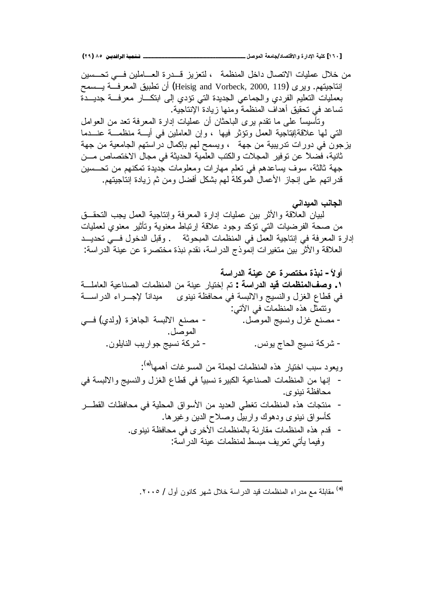**(ÏÖ) ÕÒ ÞNë¢Ë¦×ìÜàN**666666666666666666666666666666666666666666666666666666666666666666666666666666666666666666666666**¾ŮƍƆƃŒŗŶƆœŞ/ťœŮřſƙŒƍ ŖŧŒťƗŒŗƒƄƂ [ÎÓÍ]**

من خلال عمليات الاتصال داخل المنظمة ، لتعزيز قـــدرة العــــاملين فـــي تحـــسين إنتاجيتهم. ويرى (Heisig and Vorbeck, 2000, 119) أن نطبيق المعرفــة يـــسمح بعمليات النعليم الفودي والجماعي الجديدة التي نؤدي إلى ابتكـــار معرفـــة جديـــدة تساعد في تحقيق أهداف المنظمة ومنها زيادة الإنتاجية.

ونَأسيساً على ما نقدم برى الباحثان أن عمليات إدارة المعرفة نعد من العوامل التي لمها علاقةإنتاجية العمل وتؤثر فيها ، وإن العاملين في أيسة منظمسة عنسدما يزجون في دورات ندريبية من جهة ، ويسمح لهم بإكمال دراستهم الجامعية من جهة ثانية، فصلاً عن نوفير المجلات والكتب العلّمية الحديثة في مجال الاختصاص مـــن جهة ثالثة، سوف يساعدهم في نعلم مهارات ومعلومات جُديدة نمكنهم من نحـــسين قدراتهم على إنجاز الأعمال الموكلة لهم بشكل أفضل ومن ثم زيادة إنتاجيتهم.

الجانب الميدان*ي* 

لْبِيانِ العلَاقَةِ والأثرِ بينِ عملياتٍ إدارةِ المعرِفةِ وإنتاجيةِ العملِ يجبِ التحقُّـقِ من صحة الفرضيات التي نؤكد وجود علاقة إرنباط معنوية ونأثير معنوي لعمليات إدارة المعرفة في إنتاجية العمل في المنظمات المبحوثة . وقبل الدخول فسي تحديــد العلاقة والأثر بين متغيرات إنموذج الدراسة، نقدم نبذة مختصرة عن عينة الدراسة:

**ŗŪŒŧťƃŒŗƈƒŵƇŵŖŧŮřŤƆŖŦŕƈ -ĹƙƍŊ** ř»ƆƈŕŸƅŔřƔŷŕƊŰƅŔŚŕƈŴƊƈƅŔƉƈřƊƔŷũŕƔśŦŏ Ƈś **: ŗŪŒŧťƃŒťƒſŘœƆŲƈƆƃŒŻŮƍ .Î** ř»ŬŔũŧƅŔ'nŔũ»ŠƙĻŕƊŔŧƔƈ ƐƏƊƔƊřŴžŕţƈƓžřŬŗƅƛŔƏşƔŬƊƅŔƏ¿ŪżƅŔŵŕųƁƓž :ƓśƕŔƓžŚŕƈŴƊƈƅŔƋŨƍ¿ŝƈśśƏ Ɠ»ž (ƒŧƅƏ) ŘŪƍŕŠƅŔ řŬŗƅƛŔ ŶƊŰƈ - .¿ŰƏƈƅŔşƔŬƊƏ¿ŪŻŶƊŰƈ - .¿ŰƏƈƅŔ .ƉƏƆƔŕƊƅŔŖƔũŔƏŠşƔŬƊřƄũŮ - .ūƊƏƔŞŕţƅŔşƔŬƊřƄũŮ ŕƎƈƍŌŚŕŻƏŬƈƅŔƉƈřƆƈŠƅŚŕƈŴƊƈƅŔƋŨƍũŕƔśŦŔŖŗŬŧƏŸƔƏ (∗)

 : Ɠž řŬŗƅƛŔƏ şƔŬƊƅŔƏ¿ŪżƅŔŵŕųƁƓžĻŕƔŗŬƊŘũƔŗƄƅŔřƔŷŕƊŰƅŔ ŚŕƈŴƊƈƅŔƉƈŕƎƊŏ - .ƐƏƊƔƊřŴžŕţƈ

- جات هذه المنظمات تغطى العديد من الاسواق المحليه في محافظ کأسواق نبنوی ودهوك واربيل وصلاح الدين وغير ها.
	- قدم هذه المنظمات مقارنة بالمنظمات الأخرى في محافظة نينوي. وفيما يأتي تعريف مبسط لمنظمات عينة الدر اسة:

(\*) مقابلة مع مدراء المنظمات قيد الدراسة خلال شهر كانون أول / ٢٠٠٥.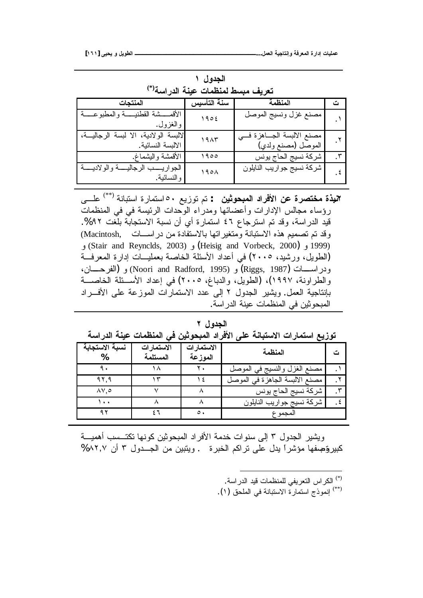| تعريف مبسط لمنظمات عينة الدراسة <sup>(*)</sup>           |                  |                                                   |                      |  |  |  |  |  |  |
|----------------------------------------------------------|------------------|---------------------------------------------------|----------------------|--|--|--|--|--|--|
| المنتجات                                                 | سنة التأسيس      | المنظمة                                           | ت                    |  |  |  |  |  |  |
| الأقمسشة القطنيسة والمطبوعسة<br>والغزول.                 | 1905             | مصنع غزل ونسيج الموصل                             |                      |  |  |  |  |  |  |
| لالبسة الولادية، الا لبسة الرجالية،<br>الالبسة النسائية. | 19AT             | مصنع الالبسة الجـاهزة فـــى<br>الموصل (مصنع ولدي) | $\cdot$ $\mathsf{r}$ |  |  |  |  |  |  |
| الأقمشة واليشماغ.                                        | ۱۹۰۰             | شركة نسيج الحاج بونس                              | $\cdot$ ٣            |  |  |  |  |  |  |
| الجواريسب الرجاليسة والولاديسة<br>و النسائية.            | 190 <sub>A</sub> | شركة نسيج جواريب النايلون                         | . દ                  |  |  |  |  |  |  |

الجدول ۱

**البذة مختصرة عن الأفراد المبحوثين** : تم توزيع ٥٠ استمارة استبانة <sup>(\*\*)</sup> علـــى رؤساء مجالس الإدارات وأعضائها ومدراء الوحدات الرئيسة في في المنظمات قيد الدراسة، وقد نم استرجاع ٤٦ استمارة أي أن نسبة الاستجابة بلغت ٩٢%. وقد تم تصميم هذه الاستبانة ومتغير اتها بالاستفادة من در اســـات ,Macintosh) (1999 و (Heisig and Vorbeck, 2000) و (Stair and Reynclds, 2003) (الطويل، ورشيد، ٢٠٠٥) في أعداد الأسئلة الخاصة بعمليــات إدارة المعرفـــة ودراســـات (Riggs, 1987) و (Noori and Radford, 1995) و (الفرحــــان، والطراونة، ١٩٩٧)، (الطويل، والدباغ، ٢٠٠٥) في إعداد الأســئلة الخاصـــة بإنتاجية العمل ويشير الجدول ٢ إلى عدد الاستمارات الموزعة على الأفسراد المبحوثين في المنظمات عينة الدراسة.

## الجدول ۲

| توزيع استمارات الاستبانـة على الأفراد المبحوثين في المنظمات عينـة الدراسـة |  |  |  |
|----------------------------------------------------------------------------|--|--|--|
|----------------------------------------------------------------------------|--|--|--|

| نسبة الاستجابة             | الاستمارات<br>المستلمة | الاستمارات<br>الموزعة | المنظمة                        |  |
|----------------------------|------------------------|-----------------------|--------------------------------|--|
|                            |                        |                       | مصنع الغزل والنسيج في الموصل   |  |
| 97.9                       |                        |                       | مصنع الالبسة الجاهزة في الموصل |  |
| $\Lambda$ $\vee$ . $\circ$ |                        |                       | شركة نسيج الحاج يونس           |  |
| $\ddot{\phantom{1}}$       |                        |                       | شركة نسيج جواريب النايلون      |  |
|                            |                        | $\circ$ .             | المجمو ع                       |  |

ويشير الجدول ٣ إلى سنوات خدمة الأفراد المبحوثين كونها تكتــسب أهميـــة كبيروتجعفها مؤشراً يدل على نراكم الخبرة . ويتبين من الجهول ٣ أن ٨٢,٧%

- <sup>(\*)</sup> الكر اس التعريفي للمنظمات قيد الدر اسة.
- (\*\*) إنموذج استمارة الاستبانة في الملحق (١).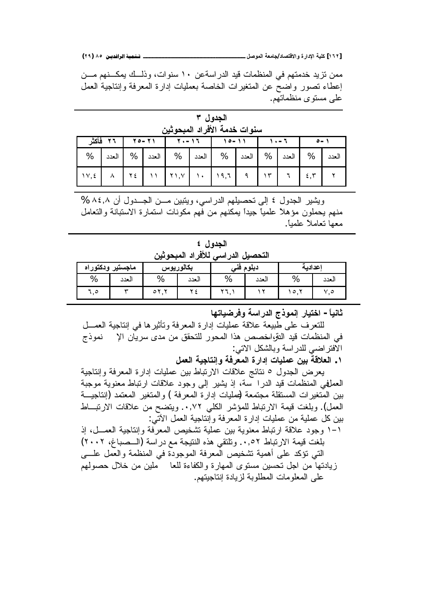**(ÏÖ) ÕÒ ÞNë¢Ë¦×ìÜàN**666666666666666666666666666666666666666666666666666666666666666666666666666666666666666666666666**¾ŮƍƆƃŒŗŶƆœŞ/ťœŮřſƙŒƍ ŖŧŒťƗŒŗƒƄƂ [ÎÓÏ]**

ممن نزيد خدمتهم في المنظمات قيد الدراسةعن ١٠ سنوات، وذلــك يمكـــنهم مـــن إعطاء نصور واضح عن المتغيرات الخاصة بعمليات إدارة المعرفة وإنتاجية العمل علمي مستوى منظماتهم.

الجدول ۳ سنو ات خدمة الأفر اد المبحو ثبن

|  |  |  | 1 - - 1 - - ١   1 - - ١٥   - - ١٢   - - ٢٧   7 + - - ١٢   قاعش                                                                                                                                                                                                                                                                                                                |  |  |  |
|--|--|--|-------------------------------------------------------------------------------------------------------------------------------------------------------------------------------------------------------------------------------------------------------------------------------------------------------------------------------------------------------------------------------|--|--|--|
|  |  |  | العدد   %   العدد   %   العدد   %   العدد   %   العدد   %   العدد   %                                                                                                                                                                                                                                                                                                         |  |  |  |
|  |  |  | $\left[\begin{array}{c c c c c c} \lambda & \lambda & \tau \end{array}\right]$ $\left[\begin{array}{c c c} \gamma & \gamma & \gamma \\ \gamma & \gamma & \eta \end{array}\right]$ $\left[\begin{array}{c c c} \gamma & \gamma & \tau \\ \gamma & \eta & \tau \end{array}\right]$ $\left[\begin{array}{c c c} \gamma & \tau & \tau \\ \gamma & \eta & \tau \end{array}\right]$ |  |  |  |

ويشير الجدول ٤ إلى تحصيلهم الدراسي، ويتبين مـــن الجـــدول أن ٨٤,٨ % مذهم يحملون مؤهلا علمياً جيداً يمكنهم من فهم مكونات استمارة الاستبانة والنعامل معها نعاملاً علمباً.

الجدول ٤ التحصيل الدر ا*سي* للأفر اد المبحو ثين

| ماجستير ودكتوراه |       | بكالوريوس    |       | ٦À  | دبلوم  | إعدادية |      |  |
|------------------|-------|--------------|-------|-----|--------|---------|------|--|
| %                | العدد | %            | العدد | %   | العدد  | %       | لعدد |  |
|                  | س     | w<br>$\circ$ |       | . . | $\sim$ | ه ،     | ۰. o |  |

**œƌřœƒŰŧżƍŗŪŒŧťƃŒŜŦƍƆƈōŧœƒřŤŒ -Ĺœƒƈœś**

للتعرف على طبيعة علاقة عمليات إدارة المعرفة وتأثيرها في إنتاجية العمـــل في المنظمات قيد النتواسخصص هذا المحور للتحقق من مدى سريان الإ� نموذج الافتر اضبي للدر اسة وبالشكل الاتبي:

**¾ƆŶƃŒŗƒŞœřƈōƍŗżŧŶƆƃŒ ŖŧŒťō ŘœƒƄƆŵƇƒŕŗſƚŶƃŒ .Î**

بعرض الجدول ٥ نتائج علاقات الارتباط بين عمليات إدارة المعرفة وإنتاجية العملفي المنظمات قيد الدرا سة، إذ يشير إلى وجود علاقات ارتباط معنوية موجبة بين المتغير ات المستقلة مجتمعة لممليات إدار ة المعر فة ) و المتغير المعتمد (إنتاجيـــة العمل). وبلغت قيمة الارتباط للمؤشر الكلي ٠,٧٢. ويتضح من علاقات الارتبــاط بين كل عملية من عمليات إدارة المعرفة وإنتاجية العمل الأتبي:

٬ و جود علاقة ار تباط معنوية بين عملية تشخيص المعر فة وإنتاجية الع*مـــ*ل، إذ بلغت فيمة الارتباط ٠,٥٢. وتلتقي هذه النتيجة مع دراسة (السصباغ، ٢٠٠٢) التبي نؤكد على أهمية تشخيص المعرفة الموجودة في المنظمة والعمل علسي زيادتها من اجل تحسين مستوى المهارة والكفاءة للعا مطين من خلال حصولهم على المعلو مات المطلوبة لزيادة إنتاجيتهم.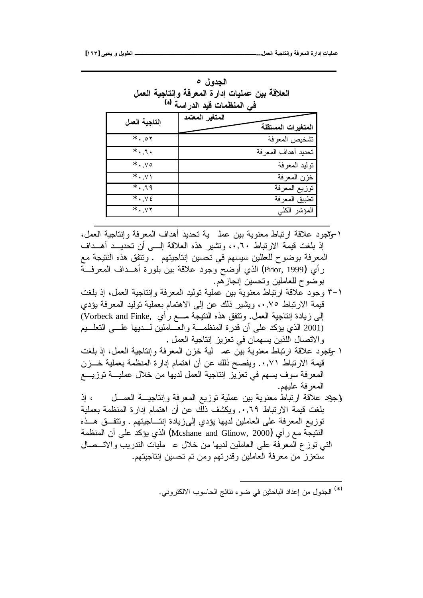| العلاقة بين عمليات إدارة المعرفة وإنتاجية العمل<br>فى المنظمات قيد الدراسة <sup>(*)</sup> |                                       |  |  |  |  |  |  |  |
|-------------------------------------------------------------------------------------------|---------------------------------------|--|--|--|--|--|--|--|
| إنتاجية العمل                                                                             | المتغير المعتمد<br>المتغيرات المستقلة |  |  |  |  |  |  |  |
| $*$ 0۲                                                                                    | تشخيص المعرفة                         |  |  |  |  |  |  |  |
| $*$ . 1.                                                                                  | تحديد أهداف المعرفة                   |  |  |  |  |  |  |  |
| $*$ vo                                                                                    | نوليد المعرفة                         |  |  |  |  |  |  |  |
| $*$ . $Y$                                                                                 | خزن المعرفة                           |  |  |  |  |  |  |  |
| $*$ . 19                                                                                  | نوزيع المعرفة                         |  |  |  |  |  |  |  |
| $* \cdot \cdot \cdot$                                                                     | تطبيق المعرفة                         |  |  |  |  |  |  |  |
| $*$ . YY                                                                                  | المؤشر الكلبي                         |  |  |  |  |  |  |  |

**Ò¾ƍťŞƃŒ**

- ا -وللجود علاقة ارتباط معنوية بين عمل ية تحديد أهداف المعرفة وإنتاجية العمل، إذ بلغت قيمة الارتباط .٠,٦٠ ونتثمير هذه العلاقة إلـــي أن تحديــد أهــداف المعرفة بوضوح للعللين سيسهم في تحسين إنتاجيتهم . وتتفق هذه النتيجة مع رأي (Prior, 1999) الذي أوضح وجود علاقة بين بلورة أهــداف المعرفــة بوضوح للعاملين وتحسين إنجازهم.
- ×−۳ وجود علاقة ارتباط معنوية بين عملية توليد المعرفة وإنتاجية العمل، إذ بلغت قيمة الارتباط ٠,٧٥، ويشير ذلك عن إلى الاهتمام بعملية توليد المعرفة يؤدي الِّي زيادة إنتاجية العمل. ونتفق هذه النتيجة مـــع رأي ,Vorbeck and Finke) (2001 الذي يؤكد على أن قدرة المنظمـــة والعـــاملين لــــديها علــــي النعلـــيم و الاتصال اللذين يسهمان في تعزيز إنتاجية العمل .
- ا -ويمجود علاقة ارتباط معنوية بين عم لية خزن المعرفة وإنتاجية العمل، إذ بلغت قيمة الارتباط ٠,٧١. ويفصح ذلك عن أن اهتمام إدارة المنظمة بعملية خـــزن المعرفة سوف يسهم في تعزيز إنتاجية العمل لديها من خلال عمليـــة توزيــــع المعرفة عليهم.
- {جَهِدَ عَلَاقَةَ لرَّتَبَاطُ مَعْنُويَةٌ بَيْنَ عَمَلَيَةٌ نَوزَيْعِ الْمَعْرِفَةِ وَإِنْتَاجِيَــة العَمـــل بلغت قيمة الارتباط ٠,٦٩. ويكشف ذلك عن أن اهتمام إدارة المنظمة بعملية نوزيع المعرفة على العاملين لديها يؤدي إلىزيادة إنتـــاجيتهم . ونتفـــق هـــذه النتيجة مع ر أي (Mcshane and Glinow, 2000) الذي يؤكد على أن المنظمة التي نوزع المعرفة على العاملين لديها من خلال ء مليات الندريب والاتــصال سنغزز من معرفة العاملين وقدرتهم ومن نم نحسين إنتاجيتهم.

<sup>(∗)</sup> الجدول من إعداد الباحثين في ضوء نتائج الحاسوب الالكتروني.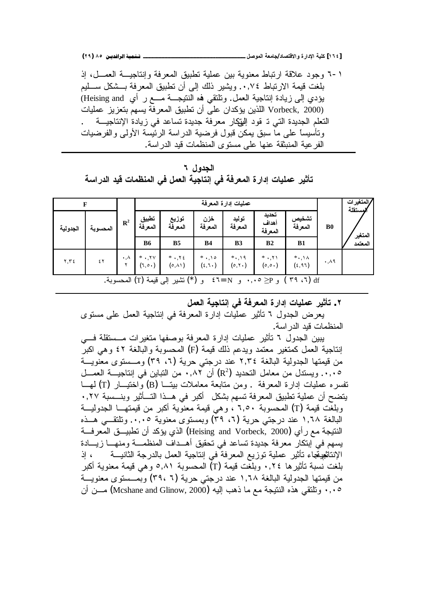**(ÏÖ) ÕÒ ÞNë¢Ë¦×ìÜàN**666666666666666666666666666666666666666666666666666666666666666666666666666666666666666666666666**¾ŮƍƆƃŒŗŶƆœŞ/ťœŮřſƙŒƍ ŖŧŒťƗŒŗƒƄƂ [ÎÓÑ]**

٬ - ٦ وجود علاقة ارتباط معنوية بين عملية تطبيق المعرفة وإنتاجيـــة العمـــل، إذ بلغت قيمة الارتباط ٠,٧٤. ويشير ذلك إلى أن تطبيق المعرفة بـــشكل ســـليم بؤدي إلى زيادة إنتاجية العمل. ونلتقي فه النتيجـــة مـــع ر أي Heising and) Vorbeck, 2000) اللذين يؤكدان على أن تطبيق المعرفة يسهم بتعزيز عمليات النعلم الجديدة التي نـ قود اللوكار معرفة جديدة نساعد في زيادة الإنتاجيـــة ونَأسيساً على ما سبق يمكن قبول فرضية الدراسة الرئيسة الأولى والفرضيات الفر عية المنبثقة عنها على مستوى المنظمات قيد الدر اسة.

الحدول ٢ تأثير ع*م*ليات إدارة المعرفة ف*ي* إنتاجية الع*مل في* المنظمات قيد الدراسة

| F          |                                                                                                                          |                         |                                                 | عمليات إدارة المعرفة               |                  |                   |                                     |                              |                      | /المتغير ات<br>لمستقلة |  |
|------------|--------------------------------------------------------------------------------------------------------------------------|-------------------------|-------------------------------------------------|------------------------------------|------------------|-------------------|-------------------------------------|------------------------------|----------------------|------------------------|--|
| الجدولية   | المحسوبة                                                                                                                 | $\mathbb{R}^2$          | تطبيق<br>المعرفة                                | توزيع<br>المعرفة                   | خزن<br>المعرفة   | توليد<br>المعرفة  | تحديد<br>أهداف<br>المعرفة           | تشخيص<br>المعرفة             | B <sub>0</sub>       | المتغير                |  |
|            |                                                                                                                          |                         | <b>B6</b>                                       | B <sub>5</sub>                     | <b>B4</b>        | B <sub>3</sub>    | B <sub>2</sub>                      | B1                           |                      | المعتمد                |  |
| $Y, Y \in$ | ٤٢                                                                                                                       | $\cdot$ , $\wedge$<br>٧ | $*$ $\cdot$ , $\gamma \gamma$<br>$(1, 0 \cdot)$ | $*$ . $\gamma$ 2<br>$(0, \lambda)$ | $*$ ,10<br>(5,1) | $*, 19$<br>(0, 1) | $*$ , $*$<br>$(\circ, \circ \cdot)$ | $*, \wedge \wedge$<br>(5,97) | $\cdot$ , $\wedge$ 9 |                        |  |
|            | (*) نَشْيَر إلى قَيْمَة (T) المحسوبة.<br>$(5.79)$ df<br>$\mathfrak{z}$ $\mathfrak{z}$ = N<br>و P⊵ ∘۰,۰<br>$\overline{9}$ |                         |                                                 |                                    |                  |                   |                                     |                              |                      |                        |  |

**¾ƆŶƃŒŗƒŞœřƈōƑżŗżŧŶƆƃŒŖŧŒťōŘœƒƄƆŵŧƒśŋř .Ï**

يعرض الجدول ٦ نأثير عمليات إدارة المعرفة في إنتاجية العمل على مستوى المنظمات قدد الدر اسة.

يبين الجدول ٦ تأثير عمليات إدارة المعرفة بوصفها متغيرات مـــستقلة فـــي إنتاجية العمل كمتغير معتمد ويدعم ذلك قيمة (F) المحسوبة والبالغة ٤٢ وهي اكبر من قيمتها الجدولية البالغة ٢,٣٤ عند درجتي حرية (٦، ٣٩) ومـــستوى معنويـــة ۰٫۰۰ ويستدل من معامل التحديد (?R) أن ۰٫۸۲ من التباين في إنتاجيـــة العمـــل نفسر ه عمليات إدار ة المعرفة . ومن متابعة معاملات بيتــا (B) و اختيــار (T) لمهــا يتضح أن عملية تطبيق المعرفة تسهم بشكل أكبر في هــذا التــأثير وبنــسبة ٠,٢٧ وبلغت قيمة (T) المحسوبة ٦,٥٠ ، وهي قيمة معنوية أكبر من قيمتهــا الجدوليـــة البالغة ١,٦٨ عند درجتي حرية (٦، ٣٩) وبمستوى معنوية ٠,٠٠. وتلتقـــي هــذه النتيجة مع ر أي (Heising and Vorbeck, 2000) الذي يؤكد أن تطبيـــق المعرفـــة بسهم في إبتكار معرفة جديدة تساعد في تحقيق أهــداف المنظمـــة ومنهـــا زيـــادة الإنتاثعيةجاء تأثير عملية توزيع المعرفة في إنتاجية العمل بالدرجة الثانيـــة ، إذ بلغت نسبة تأثير ها ٠,٢٤ وبلغت قيمة (T) المحسوبة ٥,٨١ و هي قيمة معنوية أكبر من قيمتها الجدولية البالغة ١,٦٨ عند درجتي حرية (٢٩، ٦) وبمــستوى معنويـــة ٠٫٠٥ ونلتقى هذه النتيجة مع ما ذهب اليه (Mcshane and Glinow, 2000) مـــن أن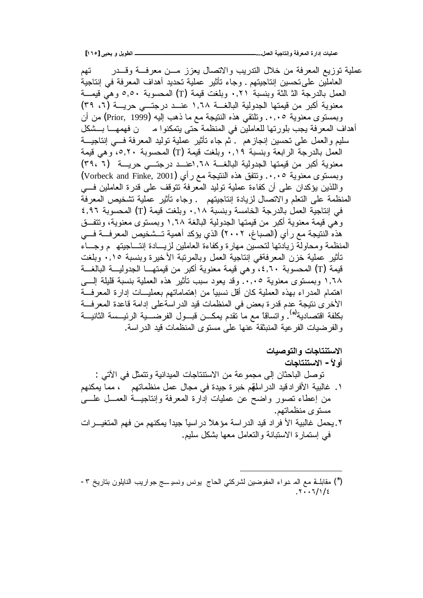**[ÎÓÒ] Əƒšƒƍ¾ƒƍűƃŒ ººººººººººººººººººººººººººººººº...¾ƆŶƃŒŗƒŞœřƈōƍŗżŧŶƆƃŒ ŖŧŒťōŘœƒƄƆŵ**

عملية نوزيع المعرفة من خلال الندريب والاتصال يعزز مــن معرفــة وقـــدر متــ تنهم العاملين على تحسين إنتاجيتهم . وجاء تأثير عملية تحديد أهداف المعرفة في إنتاجية العمل بالدرجة الث الثة وبنسبة ٠,٢١ وبلغت قيمة (T) المحسوبة ٥,٥٠ وهي قيمـــة معنوية أكبر من قيمتها الجدولية البالغـــة ١,٦٨ عنـــد درجتـــي حريــــة (٦، ٣٩) وبمستوى معنوية ٠,٠٥. وتلتقي هذه النتيجة مع ما ذهب إليه (Prior, 1999) من أن أهداف المعرفة يجب بلورتها للعاملين في المنظمة حتى يتمكنوا مسمن فهمهـــا بـــشكل سليم والعمل على تحسين إنجازهم . ثم جاء تأثير عملية توليد المعرفة فـــي إنتاجيـــة العمل بالدرجة الرابعة وبنسبة ۰٬۱۹ وبلغت قيمة (T) المحسوبة ٥٬۲۰ وهي قيمة معنوية أكبر من قيمتها الجدولية البالغـــة ٦٨, اعنـــد درجتـــي حريـــة (٣٩، ٢) وبمستوى معنوية ٠,٠٥. وتتفق هذه النتيجة مع رأي (Vorbeck and Finke, 2001) واللذين بؤكدان على أن كفاءة عملية نوليد المعرفة نتوقف على قدرة العاملين فسي المنظمة على التعلم والاتصال لزيادة إنتاجيتهم . وجاء تأثير عملية تشخيص المعرفة في إنتاجية العمل بالدرجة الخامسة وبنسبة ٠,١٨ وبلغت قيمة (T) المحسوبة ٤,٩٦ وهي قَيمة معنوية أكبر من قيمتها الجدولية البالغة ١,٦٨ وبمستوى معنوية، وتتفــق هذه النتيجة مع ر أي (الصباغ، ٢٠٠٢) الذي يؤكد أهمية تــشخيص المعرفـــة فـــي المنظمة ومحاولة زيادتها لتحسين مهارة وكفاءة العاملين لزيسادة إنتساجيته بم وجساء تَأْثِيرِ عَمَلَيَة خزَّنِ المعرفةفي إنتاجية العمل وبالمرتبة الأخيرة وبنسبة ٠,١٥ وبلغت قيمة (T) المحسوبة ٤,٦٠، وهي قيمة معنوية أكبر من قيمتهـــا الجدوليـــة البالغـــة ١,٦٨ وبمستوى معنوية ٠,٠٥. وقد يعود سبب تأثير هذه العملية بنسبة قليلة السي اهتمام المدراء بهذه العملية كان أقل نسبياً من إهتماماتهم بعمليـــات إدارة المعرفـــة الأخرى نتيجة عدم قدرة بعض في المنظمات قيد الدر اسةعلى إدامة قاعدة المعرفـــة بكلفة اقتصادية<sup>(\*)</sup>. واتساقاً مع ما تقدم يمكـــن قبـــول الفرضــــية الرئيـــسة الثانيـــة والفرضيات الفرعية المنبثقة عنها على مستوى المنظمات فيد الدر اسة.

- الاستنتاجات والتوصيات أو لأ – الاستنتاجات نوصل الباحثان إلى مجموعة من الاستتاجات الميدانية ونتمثل في الأتي : ١. غالبية الأفرادقيد الدراسلةم خبرة جيدة في مجال عمل منظماتهم ، مما يمكنهم من إعطاء تصور واضح عن عمليات إدارة المعرفة وإنتاجيـــة العمـــل علــــي مستو ی منظماتهم.
- ۲ . بحمل غالبية الأ فر اد قيد الدر اسة مؤ هلاً در اسياً جيداً بمكنهم من فهم المتغيـــر ات في إستمارة الاستبانة والتعامل معها بشكل سليم.

<sup>(\*)</sup> مقابلـــة مـع المـ دـواء المفوضين لشركتي الـحاج يونس ونسيـــــج جواريب النـايلون بتاريخ ٣−  $7.77/12$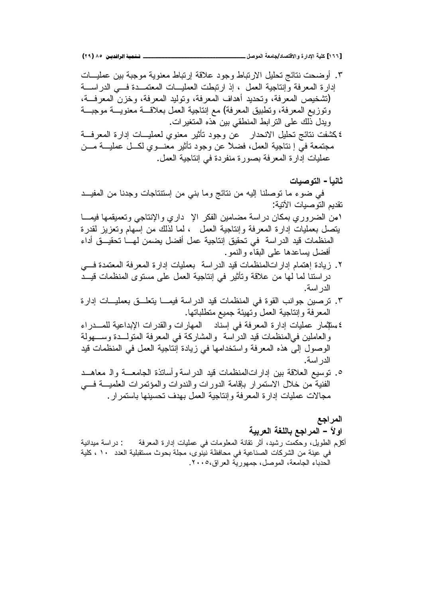٣. أوضحت نتائج تحليل الارتباط وجود علاقة إرتباط معنوية موجبة بين عمليـــات إدارة المعرفة وإنتاجية العمل ، إذ ارتبطت العمليـــات المعتمـــدة فـــي الدراســـة (تشخيص المعرفة، وتحديد أهداف المعرفة، وتوليد المعرفة، وخزن المعرفــة، وتوزيع المعرفة، وتطبيق المعرفة) مع إنتاجية العمل بعلاقـــة معغنويـــة موجبـــة ويدل ذلك على النرابط المنطقي بين هذه المتغيرات. ٤ كشفت نتائج تحليل الانحدار عن وجود تأثير معنوي لعمليـــات إدارة المعرفـــة مجتمعة في إ نتاجية العمل، فضلاً عن وجود تأثير معنـــوي لكـــل عمليـــة مـــن عمليات إدارة المعرفة بصورة منفردة في إنتاجية العمل.

**ŘœƒŮƍřƃŒ -Ĺœƒƈœś** في ضوء ما نوصلنا إليه من نتائج وما بنبي من إستتناجات وجدنا من المفيــد نقديم التوصيات الأتية:

- امن الضروري بمكان دراسة مضامين الفكر الإ داري والإنتاجي وتعميقمها فيمـــا ينصل بعمليات إدارة المعرفة وإنتاجية العمل ، لما لذلك من إسهام وتعزيز لقدرة المنظمات قيد الدراسة في تحقيق إنتاجية عمل أفضل يضمن لهـــا تحقيـــق أداء أفضل بساعدها على البقاء والنمو .
- ۲. زيادة إهتمام إداراتالمنظمات قيد الدراسة بعمليات إدارة المعرفة المعتمدة فـــي دراستنا لما لمها من علاقة ونأثير في إنتاجية العمل على مستوى المنظمات قيــد الدر اسة.
- ٣. نرصين جوانب القوة في المنظمات قيد الدراسة فيمـــا يتعلـــق بعمليــــات إدارة المعرفة وإنتاجية العمل وتهيئة جميع متطلباتها.
- ٤سنتِمار عمليات إدارة المعرفة في إسناد المهارات والقدرات الإبداعية للمـــدراء و العاملين في|لمنظمات فيد الدر اسة والمشاركة في المعرفة المنولــدة وســـهولة الوصول إلى هذه المعرفة واستخدامها في زيادة إنتاجية العمل في المنظمات قيد الدر اسة.
- ه . نوسيع العلاقة بين إداراتالمنظمات قيد الدراسة وأساتذة الجامعــة والـ معاهــد الْفَنية من خلال الاستمرار بإقامة الدورات والندوات والمؤتمرات العلميـــة فــــى مجالات عمليات إدارة المعرفة وإنتاجية العمل بهدف تحسينها باستمرار .

المرا**جع** او لأ – المر اجع باللغة العربية

أكل(م الطويل، وحكمت رشيد، أثر نقانة المعلومات في عمليات إدارة المعرفة : دراسة ميدانية في عينة من الشركات الصناعية في محافظة نينوي، مجلة بحوث مستقبلية العدد ، ١ ، كلية الحدباء الجامعة، الموصل، جمهورية العراق،٢٠٠٥.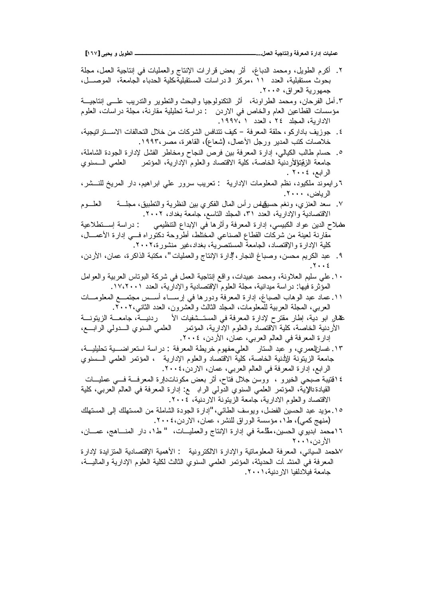**[ÎÓÔ] Əƒšƒƍ¾ƒƍűƃŒ ººººººººººººººººººººººººººººººº...¾ƆŶƃŒŗƒŞœřƈōƍŗżŧŶƆƃŒ ŖŧŒťōŘœƒƄƆŵ**

- ۲ أكرم الطويل، ومحمد الدباغ، أثر بعض قرارات الإنتاج والعمليات في إنتاجية العمل، مجلة بحوث مستقبلية، العدد ١١ ،مركز الـ دراسات المستقبلية،كلية الـحدباء الجامعة، الموصـــل، جمهورية العراق، ٢٠٠٥.
- ۳. أمل الفرحان، ومحمد الطراونة، أثر التكنولوجيا والبحث والنطوير والندريب علـــي إنتاجيـــة مؤسسات القطاعين العام والخاص في الاردن : دراسة تحليلية مقارنة، مجلة دراسات، العلوم الادارية، المجلد ٢٤ ، الحدد ١ ،١٩٩٧.
- ٤. جوزيف باداركو، حلقة المعرفة كيف تتنافس الشركات من خلال التحالفات الاســـتراتيجية، خلاصات كتب المدير ورجل الأعمال، (شعاع)، القاهرة، مصر ١٩٩٢.
- °. حسام طالب الكيالي، إدارة المعرفة بين فرص النجاح ومخاطر الفشل لإدارة الجودة الشاملة، جامعة الزقينوالأردنية الخاصة، كلية الاقتصاد والعلوم الإدارية، المؤتمر العلمي الـــسنوي الرابع، ٢٠٠٤ .
- ٦ رايموند ملكيود، نظم المعلومات الإدارية : تعريب سرور علي ابراهيم، دار المريخ للنـــشر، الرباض، ۲۰۰۰.
- ٧. سعد العنزي، ونغم حسيقِهلس رأس المال الفكري بين النظرية والنطبيق، مجلَّـــة العلـــوم الاقتصادية والإدارية، العدد ٣١، المجلد التاسع، جامعة بغداد، ٢٠٠٢.
- خلاح الدين عواد الكبيسي، إدارة المعرفة وأثرها في الإبداع التنظيمي : دراسة إســنطلاعية مقارنة لعينة من شركات القطاع الصناعي المختلط، أطروحة دكتوراه فسي إدارة الأعمـــال، كلية الإدارة والإقتصاد، الجامعة المستنصرية، بغداد،غير منشورة،٢٠٠٢.
- ٩. عبد الكريم محسن، وصباغ النجار، إدارة الإنتاج والعمليات "، مكتبة الذاكرة، عمان، الأردن، . $\mathsf{Y} \cdot \cdot \mathsf{E}$
- ١ . على سليم العلاونة، ومحمد عبيدات، واقع إنتاجية العمل في شركة البوتاس العربية والعوامل الْمُؤثِّرة فيها: دراسة ميدانية، مجلَّة العلوم الإقتصادية والإدارية، العدد ١٧،٢٠١.
- ۰۱۱ عماد عبد الوهاب الصباغ، إدارة المعرفة ودورها في إرســاء أســس مجتمـــع المعلومـــات العربي، المجلة العربية للمعلومات، المجلد الثالث والعشرون، العدد الثاني،٢٠٠٢.
- مِصار ابو دية، إطار مقترح لإدارة المعرفة في المستــشفيات الأ ردنيـــة، جامعـــة الزيتونـــة الأردنية الخاصة، كلية الاقتصاد والعلوم الإدارية، المؤتمر العلمي السنوي الــدولي الرابـــع، إدارة المعرفة في العالم العربي، عمان، الأردن، ٢٠٠٤.
- ۱۳. غسانالعمري، و عبد الستار العلي مفهوم خريطة المعرفة : دراسة استعراضــــية تحليليـــة، جامعة الزيتونة للأننية الخاصة، كلية الاقتصاد والعلوم الإدارية ، المؤتمر العلمي الـــسنوي الرابع، إدارة المعرفة في العالم العربي، عمان، الاردن،٤٠٠٤.
- ٤ اقتيبة صبحي الخيرو ، ووسن جلال فتاح، أثر بعض مكوناتدارة المعرفــة فـــي عمليـــات القيادة نالاية، المؤتمر العلمي السنوي الدولي الرابــــع: إدارة المعرفة في العالم العربي، كلية الاقتصاد والعلوم الادارية، جامعة الزيتونة الاردنية، ٢٠٠٤.
- ١٥. مؤيد عبد الحسين الفضل، ويوسف الطائي، "إدارة الجودة الشاملة من المستهلك إلى المستهلك (منهج كمي)، ط١، مؤسسة الوراق للنشر، عمان، الاردن،٢٠٠٤.
- ١٦محمد ابديوي الحسين،مقدَّمة في إدارة الإنتاج والعمليـــات، " ط١، دار المنــــاهج، عمــــان، الأردن،١٠٠١
- Yلمحمد السياني، المعرفة المعلوماتية والإدارة الالكترونية : الأهمية الإقتصادية المنز ايدة لإدارة المعرفة في المنشر أت الحديثة، المؤتمر العلمي السنوي الثالث لكلية العلوم الإدارية والماليسة، جامعة فبلادلفبا الار دنبة،١٠٠١.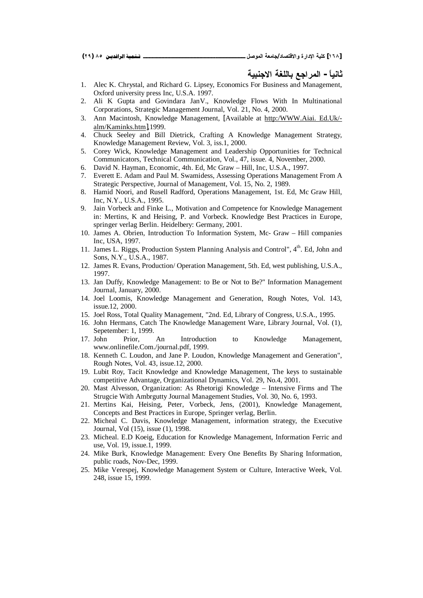- 1. Alec K. Chrystal, and Richard G. Lipsey, Economics For Business and Management, Oxford university press Inc, U.S.A. 1997.
- 2. Ali K Gupta and Govindara JanV., Knowledge Flows With In Multinational Corporations, Strategic Management Journal, Vol. 21, No. 4, 2000.
- 3. Ann Macintosh, Knowledge Management, [Available at http:/WWW.Aiai. Ed.Uk/ alm/Kaminks.htm],1999.
- 4. Chuck Seeley and Bill Dietrick, Crafting A Knowledge Management Strategy, Knowledge Management Review, Vol. 3, iss.1, 2000.
- 5. Corey Wick, Knowledge Management and Leadership Opportunities for Technical Communicators, Technical Communication, Vol., 47, issue. 4, November, 2000.
- 6. David N. Hayman, Economic, 4th. Ed, Mc Graw Hill, Inc, U.S.A., 1997.
- 7. Everett E. Adam and Paul M. Swamidess, Assessing Operations Management From A Strategic Perspective, Journal of Management, Vol. 15, No. 2, 1989.
- 8. Hamid Noori, and Rusell Radford, Operations Management, 1st. Ed, Mc Graw Hill, Inc, N.Y., U.S.A., 1995.
- 9. Jain Vorbeck and Finke L., Motivation and Competence for Knowledge Management in: Mertins, K and Heising, P. and Vorbeck. Knowledge Best Practices in Europe, springer verlag Berlin. Heidelbery: Germany, 2001.
- 10. James A. Obrien, Introduction To Information System, Mc- Graw Hill companies Inc, USA, 1997.
- 11. James L. Riggs, Production System Planning Analysis and Control", 4<sup>th</sup>. Ed. John and Sons, N.Y., U.S.A., 1987.
- 12. James R. Evans, Production/ Operation Management, 5th. Ed, west publishing, U.S.A., 1997.
- 13. Jan Duffy, Knowledge Management: to Be or Not to Be?" Information Management Journal, January, 2000.
- 14. Joel Loomis, Knowledge Management and Generation, Rough Notes, Vol. 143, issue.12, 2000.
- 15. Joel Ross, Total Quality Management, "2nd. Ed, Library of Congress, U.S.A., 1995.
- 16. John Hermans, Catch The Knowledge Management Ware, Library Journal, Vol. (1), Sepetember: 1, 1999.
- 17. John Prior, An Introduction to Knowledge Management, [www.onlinefile.Com./journal.pdf,](http://www.onlinefile.Com./journal.pdf,) 1999.
- 18. Kenneth C. Loudon, and Jane P. Loudon, Knowledge Management and Generation", Rough Notes, Vol. 43, issue.12, 2000.
- 19. Lubit Roy, Tacit Knowledge and Knowledge Management, The keys to sustainable competitive Advantage, Organizational Dynamics, Vol. 29, No.4, 2001.
- 20. Mast Alvesson, Organization: As Rhetorigi Knowledge Intensive Firms and The Strugcie With Ambrgutty Journal Management Studies, Vol. 30, No. 6, 1993.
- 21. Mertins Kai, Heising, Peter, Vorbeck, Jens, (2001), Knowledge Management, Concepts and Best Practices in Europe, Springer verlag, Berlin.
- 22. Micheal C. Davis, Knowledge Management, information strategy, the Executive Journal, Vol (15), issue (1), 1998.
- 23. Micheal. E.D Koeig, Education for Knowledge Management, Information Ferric and use, Vol. 19, issue.1, 1999.
- 24. Mike Burk, Knowledge Management: Every One Benefits By Sharing Information, public roads, Nov-Dec, 1999.
- 25. Mike Verespej, Knowledge Management System or Culture, Interactive Week, Vol. 248, issue 15, 1999.